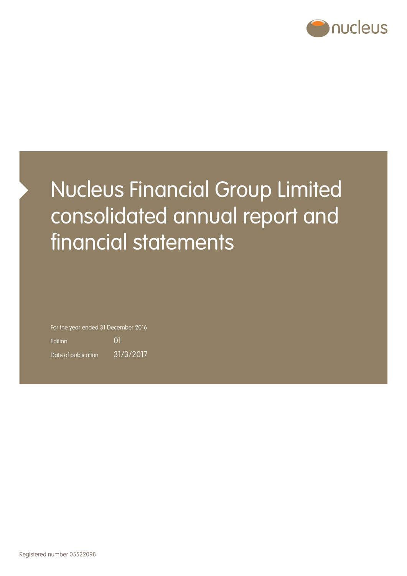

# Nucleus Financial Group Limited consolidated annual report and financial statements

For the year ended 31 December 2016

Edition 01 Date of publication 31/3/2017

Registered number 05522098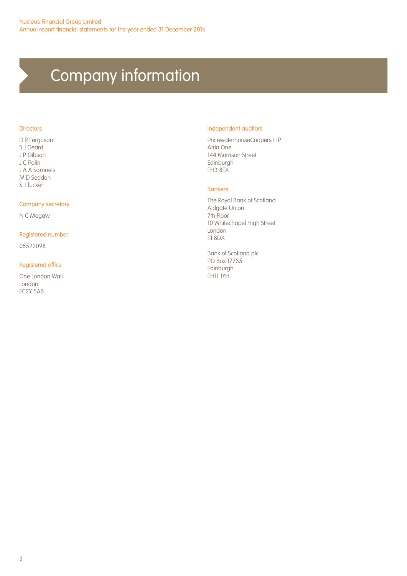## Company information

#### **Directors**

D R Ferguson S J Geard J P Gibson J C Polin J A A Samuels M D Seddon S J Tucker

#### Company secretary

N C Megaw

#### Registered number

05522098

#### Registered office

One London Wall London EC2Y 5AB

#### Independent auditors

PricewaterhouseCoopers LLP Atria One 144 Morrison Street Edinburgh EH3 8EX

#### Bankers

The Royal Bank of Scotland Aldgate Union 7th Floor 10 Whitechapel High Street London E1 8DX

Bank of Scotland plc PO Box 17235 Edinburgh EH11 1YH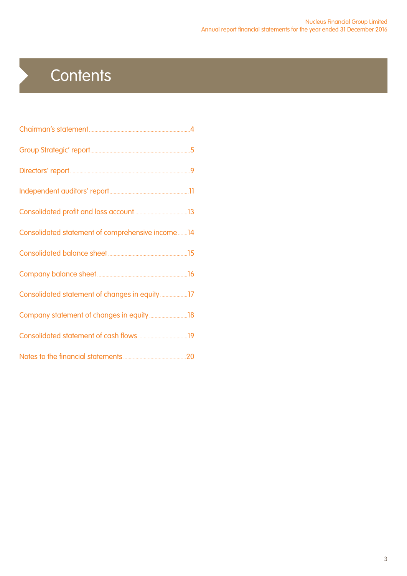## **Contents**

 $\blacktriangleright$ 

| Consolidated statement of comprehensive income 14 |  |
|---------------------------------------------------|--|
|                                                   |  |
|                                                   |  |
|                                                   |  |
|                                                   |  |
|                                                   |  |
|                                                   |  |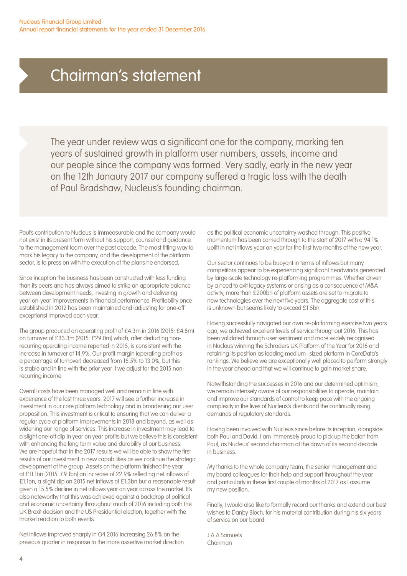### Chairman's statement

The year under review was a significant one for the company, marking ten years of sustained growth in platform user numbers, assets, income and our people since the company was formed. Very sadly, early in the new year on the 12th Janaury 2017 our company suffered a tragic loss with the death of Paul Bradshaw, Nucleus's founding chairman.

Paul's contribution to Nucleus is immeasurable and the company would not exist in its present form without his support, counsel and guidance to the management team over the past decade. The most fitting way to mark his legacy to the company, and the development of the platform sector, is to press on with the execution of the plans he endorsed.

Since inception the business has been constructed with less funding than its peers and has always aimed to strike an appropriate balance between development needs, investing in growth and delivering year-on-year improvements in financial performance. Profitability once established in 2012 has been maintained and (adjusting for one-off exceptions) improved each year.

The group produced an operating profit of £4.3m in 2016 (2015: £4.8m) on turnover of £33.3m (2015: £29.0m) which, after deducting nonrecurring operating income reported in 2015, is consistent with the increase in turnover of 14.9%. Our profit margin (operating profit as a percentage of turnover) decreased from 16.5% to 13.0%, but this is stable and in line with the prior year if we adjust for the 2015 nonrecurring income.

Overall costs have been managed well and remain in line with experience of the last three years. 2017 will see a further increase in investment in our core platform technology and in broadening our user proposition. This investment is critical to ensuring that we can deliver a regular cycle of platform improvements in 2018 and beyond, as well as widening our range of services. This increase in investment may lead to a slight one-off dip in year on year profits but we believe this is consistent with enhancing the long term value and durability of our business. We are hopeful that in the 2017 results we will be able to show the first results of our investment in new capabilities as we continue the strategic development of the group. Assets on the platform finished the year at £11.1bn (2015: £9.1bn) an increase of 22.9% reflecting net inflows of £1.1bn, a slight dip on 2015 net inflows of £1.3bn but a reasonable result given a 15.5% decline in net inflows year on year across the market. It's also noteworthy that this was achieved against a backdrop of political and economic uncertainty throughout much of 2016 including both the UK Brexit decision and the US Presidential election, together with the market reaction to both events.

Net inflows improved sharply in Q4 2016 increasing 26.8% on the previous quarter in response to the more assertive market direction as the political economic uncertainty washed through. This positive momentum has been carried through to the start of 2017 with a 94.1% uplift in net inflows year on year for the first two months of the new year.

Our sector continues to be buoyant in terms of inflows but many competitors appear to be experiencing significant headwinds generated by large-scale technology re-platforming programmes. Whether driven by a need to exit legacy systems or arising as a consequence of M&A activity, more than £200bn of platform assets are set to migrate to new technologies over the next five years. The aggregate cost of this is unknown but seems likely to exceed £1.5bn.

Having successfully navigated our own re-platforming exercise two years ago, we achieved excellent levels of service throughout 2016. This has been validated through user sentiment and more widely recognised in Nucleus winning the Schroders UK Platform of the Year for 2016 and retaining its position as leading medium- sized platform in CoreData's rankings. We believe we are exceptionally well placed to perform strongly in the year ahead and that we will continue to gain market share.

Notwithstanding the successes in 2016 and our determined optimism, we remain intensely aware of our responsibilities to operate, maintain and improve our standards of control to keep pace with the ongoing complexity in the lives of Nucleus's clients and the continually rising demands of regulatory standards.

Having been involved with Nucleus since before its inception, alongside both Paul and David, I am immensely proud to pick up the baton from Paul, as Nucleus' second chairman at the dawn of its second decade in business.

My thanks to the whole company team, the senior management and my board colleagues for their help and support throughout the year and particularly in these first couple of months of 2017 as I assume my new position.

Finally, I would also like to formally record our thanks and extend our best wishes to Danby Bloch, for his material contribution during his six years of service on our board.

J A A Samuels Chairman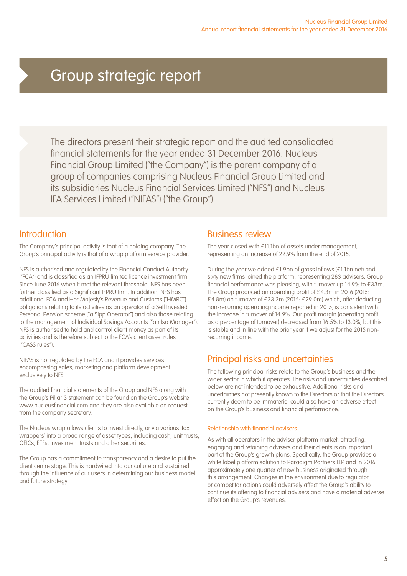### Group strategic report

The directors present their strategic report and the audited consolidated financial statements for the year ended 31 December 2016. Nucleus Financial Group Limited ("the Company") is the parent company of a group of companies comprising Nucleus Financial Group Limited and its subsidiaries Nucleus Financial Services Limited ("NFS") and Nucleus IFA Services Limited ("NIFAS") ("the Group").

### Introduction

The Company's principal activity is that of a holding company. The Group's principal activity is that of a wrap platform service provider.

NFS is authorised and regulated by the Financial Conduct Authority ("FCA") and is classified as an IFPRU limited licence investment firm. Since June 2016 when it met the relevant threshold, NFS has been further classified as a Significant IFPRU firm. In addition, NFS has additional FCA and Her Majesty's Revenue and Customs ("HMRC") obligations relating to its activities as an operator of a Self Invested Personal Pension scheme ("a Sipp Operator") and also those relating to the management of Individual Savings Accounts ("an Isa Manager"). NFS is authorised to hold and control client money as part of its activities and is therefore subject to the FCA's client asset rules ("CASS rules").

NIFAS is not regulated by the FCA and it provides services encompassing sales, marketing and platform development exclusively to NFS.

The audited financial statements of the Group and NFS along with the Group's Pillar 3 statement can be found on the Group's website www.nucleusfinancial.com and they are also available on request from the company secretary.

The Nucleus wrap allows clients to invest directly, or via various 'tax wrappers' into a broad range of asset types, including cash, unit trusts, OEICs, ETFs, investment trusts and other securities.

The Group has a commitment to transparency and a desire to put the client centre stage. This is hardwired into our culture and sustained through the influence of our users in determining our business model and future strategy.

### Business review

The year closed with £11.1bn of assets under management, representing an increase of 22.9% from the end of 2015.

During the year we added £1.9bn of gross inflows (£1.1bn net) and sixty new firms joined the platform, representing 283 advisers. Group financial performance was pleasing, with turnover up 14.9% to £33m. The Group produced an operating profit of £4.3m in 2016 (2015: £4.8m) on turnover of £33.3m (2015: £29.0m) which, after deducting non-recurring operating income reported in 2015, is consistent with the increase in turnover of 14.9%. Our profit margin (operating profit as a percentage of turnover) decreased from 16.5% to 13.0%, but this is stable and in line with the prior year if we adjust for the 2015 nonrecurring income.

### Principal risks and uncertainties

The following principal risks relate to the Group's business and the wider sector in which it operates. The risks and uncertainties described below are not intended to be exhaustive. Additional risks and uncertainties not presently known to the Directors or that the Directors currently deem to be immaterial could also have an adverse effect on the Group's business and financial performance.

#### Relationship with financial advisers

As with all operators in the adviser platform market, attracting, engaging and retaining advisers and their clients is an important part of the Group's growth plans. Specifically, the Group provides a white label platform solution to Paradigm Partners LLP and in 2016 approximately one quarter of new business originated through this arrangement. Changes in the environment due to regulator or competitor actions could adversely affect the Group's ability to continue its offering to financial advisers and have a material adverse effect on the Group's revenues.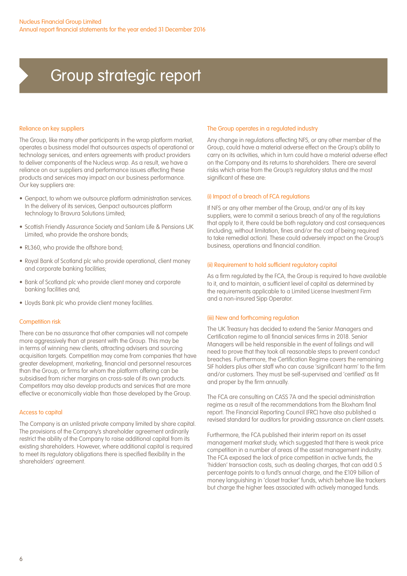### Group strategic report

#### Reliance on key suppliers

The Group, like many other participants in the wrap platform market, operates a business model that outsources aspects of operational or technology services, and enters agreements with product providers to deliver components of the Nucleus wrap. As a result, we have a reliance on our suppliers and performance issues affecting these products and services may impact on our business performance. Our key suppliers are:

- Genpact, to whom we outsource platform administration services. In the delivery of its services, Genpact outsources platform technology to Bravura Solutions Limited;
- Scottish Friendly Assurance Society and Sanlam Life & Pensions UK Limited, who provide the onshore bonds;
- RL360, who provide the offshore bond;
- Royal Bank of Scotland plc who provide operational, client money and corporate banking facilities;
- Bank of Scotland plc who provide client money and corporate banking facilities and;
- Lloyds Bank plc who provide client money facilities.

#### Competition risk

There can be no assurance that other companies will not compete more aggressively than at present with the Group. This may be in terms of winning new clients, attracting advisers and sourcing acquisition targets. Competition may come from companies that have greater development, marketing, financial and personnel resources than the Group, or firms for whom the platform offering can be subsidised from richer margins on cross-sale of its own products. Competitors may also develop products and services that are more effective or economically viable than those developed by the Group.

#### Access to capital

The Company is an unlisted private company limited by share capital. The provisions of the Company's shareholder agreement ordinarily restrict the ability of the Company to raise additional capital from its existing shareholders. However, where additional capital is required to meet its regulatory obligations there is specified flexibility in the shareholders' agreement.

#### The Group operates in a regulated industry

Any change in regulations affecting NFS, or any other member of the Group, could have a material adverse effect on the Group's ability to carry on its activities, which in turn could have a material adverse effect on the Company and its returns to shareholders. There are several risks which arise from the Group's regulatory status and the most significant of these are:

#### (i) Impact of a breach of FCA regulations

If NFS or any other member of the Group, and/or any of its key suppliers, were to commit a serious breach of any of the regulations that apply to it, there could be both regulatory and cost consequences (including, without limitation, fines and/or the cost of being required to take remedial action). These could adversely impact on the Group's business, operations and financial condition.

#### (ii) Requirement to hold sufficient regulatory capital

As a firm regulated by the FCA, the Group is required to have available to it, and to maintain, a sufficient level of capital as determined by the requirements applicable to a Limited License Investment Firm and a non-insured Sipp Operator.

#### (iii) New and forthcoming regulation

The UK Treasury has decided to extend the Senior Managers and Certification regime to all financial services firms in 2018. Senior Managers will be held responsible in the event of failings and will need to prove that they took all reasonable steps to prevent conduct breaches. Furthermore, the Certification Regime covers the remaining SIF holders plus other staff who can cause 'significant harm' to the firm and/or customers. They must be self-supervised and 'certified' as fit and proper by the firm annually.

The FCA are consulting on CASS 7A and the special administration regime as a result of the recommendations from the Bloxham final report. The Financial Reporting Council (FRC) have also published a revised standard for auditors for providing assurance on client assets.

Furthermore, the FCA published their interim report on its asset management market study, which suggested that there is weak price competition in a number of areas of the asset management industry. The FCA exposed the lack of price competition in active funds, the 'hidden' transaction costs, such as dealing charges, that can add 0.5 percentage points to a fund's annual charge, and the £109 billion of money languishing in 'closet tracker' funds, which behave like trackers but charge the higher fees associated with actively managed funds.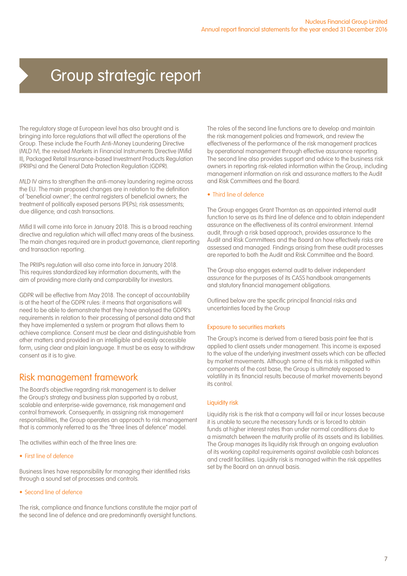### Group strategic report

The regulatory stage at European level has also brought and is bringing into force regulations that will affect the operations of the Group. These include the Fourth Anti-Money Laundering Directive (MLD IV), the revised Markets in Financial Instruments Directive (Mifid II), Packaged Retail Insurance-based Investment Products Regulation (PRIIPs) and the General Data Protection Regulation (GDPR).

MLD IV aims to strengthen the anti-money laundering regime across the EU. The main proposed changes are in relation to the definition of 'beneficial owner'; the central registers of beneficial owners; the treatment of politically exposed persons (PEPs); risk assessments; due diligence; and cash transactions.

Mifid II will come into force in January 2018. This is a broad reaching directive and regulation which will affect many areas of the business. The main changes required are in product governance, client reporting and transaction reporting.

The PRIIPs regulation will also come into force in January 2018. This requires standardized key information documents, with the aim of providing more clarity and comparability for investors.

GDPR will be effective from May 2018. The concept of accountability is at the heart of the GDPR rules: it means that organisations will need to be able to demonstrate that they have analysed the GDPR's requirements in relation to their processing of personal data and that they have implemented a system or program that allows them to achieve compliance. Consent must be clear and distinguishable from other matters and provided in an intelligible and easily accessible form, using clear and plain language. It must be as easy to withdraw consent as it is to give.

### Risk management framework

The Board's objective regarding risk management is to deliver the Group's strategy and business plan supported by a robust, scalable and enterprise-wide governance, risk management and control framework. Consequently, in assigning risk management responsibilities, the Group operates an approach to risk management that is commonly referred to as the "three lines of defence" model.

The activities within each of the three lines are:

#### • First line of defence

Business lines have responsibility for managing their identified risks through a sound set of processes and controls.

• Second line of defence

The risk, compliance and finance functions constitute the major part of the second line of defence and are predominantly oversight functions.

The roles of the second line functions are to develop and maintain the risk management policies and framework, and review the effectiveness of the performance of the risk management practices by operational management through effective assurance reporting. The second line also provides support and advice to the business risk owners in reporting risk-related information within the Group, including management information on risk and assurance matters to the Audit and Risk Committees and the Board.

#### • Third line of defence

The Group engages Grant Thornton as an appointed internal audit function to serve as its third line of defence and to obtain independent assurance on the effectiveness of its control environment. Internal audit, through a risk based approach, provides assurance to the Audit and Risk Committees and the Board on how effectively risks are assessed and managed. Findings arising from these audit processes are reported to both the Audit and Risk Committee and the Board.

The Group also engages external audit to deliver independent assurance for the purposes of its CASS handbook arrangements and statutory financial management obligations.

Outlined below are the specific principal financial risks and uncertainties faced by the Group

#### Exposure to securities markets

The Group's income is derived from a tiered basis point fee that is applied to client assets under management. This income is exposed to the value of the underlying investment assets which can be affected by market movements. Although some of this risk is mitigated within components of the cost base, the Group is ultimately exposed to volatility in its financial results because of market movements beyond its control.

#### Liquidity risk

Liquidity risk is the risk that a company will fail or incur losses because it is unable to secure the necessary funds or is forced to obtain funds at higher interest rates than under normal conditions due to a mismatch between the maturity profile of its assets and its liabilities. The Group manages its liquidity risk through an ongoing evaluation of its working capital requirements against available cash balances and credit facilities. Liquidity risk is managed within the risk appetites set by the Board on an annual basis.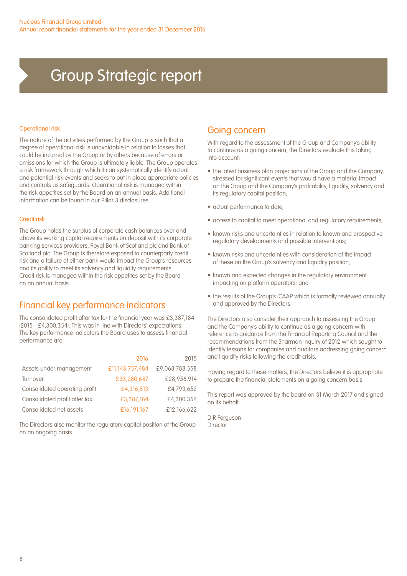### Group Strategic report

#### Operational risk

The nature of the activities performed by the Group is such that a degree of operational risk is unavoidable in relation to losses that could be incurred by the Group or by others because of errors or omissions for which the Group is ultimately liable. The Group operates a risk framework through which it can systematically identify actual and potential risk events and seeks to put in place appropriate policies and controls as safeguards. Operational risk is managed within the risk appetites set by the Board on an annual basis. Additional information can be found in our Pillar 3 disclosures.

#### Credit risk

The Group holds the surplus of corporate cash balances over and above its working capital requirements on deposit with its corporate banking services providers, Royal Bank of Scotland plc and Bank of Scotland plc. The Group is therefore exposed to counterparty credit risk and a failure of either bank would impact the Group's resources and its ability to meet its solvency and liquidity requirements. Credit risk is managed within the risk appetites set by the Board on an annual basis.

### Financial key performance indicators

The consolidated profit after tax for the financial year was £3,387,184 (2015 - £4,300,354). This was in line with Directors' expectations. The key performance indicators the Board uses to assess financial performance are:

|                               | 2016            | 2015           |
|-------------------------------|-----------------|----------------|
| Assets under management       | £11,143,757,484 | £9,068,788,558 |
| Turnover                      | £33,280,687     | £28,956,914    |
| Consolidated operating profit | £4,316,813      | £4,793,652     |
| Consolidated profit after tax | £3,387,184      | £4,300,354     |
| Consolidated net assets       | £16,191,167     | £12,166,622    |

The Directors also monitor the regulatory capital position of the Group on an ongoing basis.

### Going concern

With regard to the assessment of the Group and Company's ability to continue as a going concern, the Directors evaluate this taking into account:

- the latest business plan projections of the Group and the Company, stressed for significant events that would have a material impact on the Group and the Company's profitability, liquidity, solvency and its regulatory capital position;
- actual performance to date;
- access to capital to meet operational and regulatory requirements;
- known risks and uncertainties in relation to known and prospective regulatory developments and possible interventions;
- known risks and uncertainties with consideration of the impact of these on the Group's solvency and liquidity position;
- known and expected changes in the regulatory environment impacting on platform operators; and
- the results of the Group's ICAAP which is formally reviewed annually and approved by the Directors.

The Directors also consider their approach to assessing the Group and the Company's ability to continue as a going concern with reference to guidance from the Financial Reporting Council and the recommendations from the Sharman Inquiry of 2012 which sought to identify lessons for companies and auditors addressing going concern and liquidity risks following the credit crisis.

Having regard to these matters, the Directors believe it is appropriate to prepare the financial statements on a going concern basis.

This report was approved by the board on 31 March 2017 and signed on its behalf.

D R Ferguson Director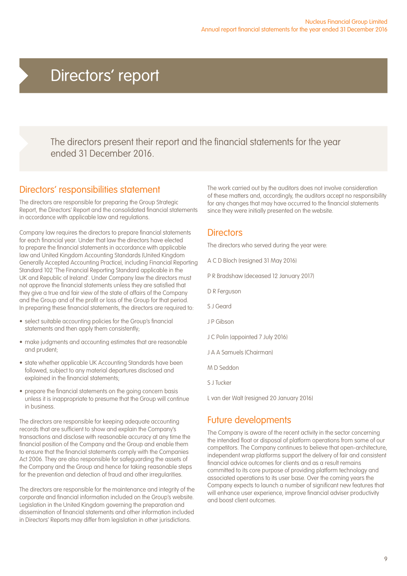### Directors' report

The directors present their report and the financial statements for the year ended 31 December 2016.

### Directors' responsibilities statement

The directors are responsible for preparing the Group Strategic Report, the Directors' Report and the consolidated financial statements in accordance with applicable law and regulations.

Company law requires the directors to prepare financial statements for each financial year. Under that law the directors have elected to prepare the financial statements in accordance with applicable law and United Kingdom Accounting Standards (United Kingdom Generally Accepted Accounting Practice), including Financial Reporting Standard 102 'The Financial Reporting Standard applicable in the UK and Republic of Ireland'. Under Company law the directors must not approve the financial statements unless they are satisfied that they give a true and fair view of the state of affairs of the Company and the Group and of the profit or loss of the Group for that period. In preparing these financial statements, the directors are required to:

- select suitable accounting policies for the Group's financial statements and then apply them consistently;
- make judgments and accounting estimates that are reasonable and prudent;
- state whether applicable UK Accounting Standards have been followed, subject to any material departures disclosed and explained in the financial statements;
- prepare the financial statements on the going concern basis unless it is inappropriate to presume that the Group will continue in business.

The directors are responsible for keeping adequate accounting records that are sufficient to show and explain the Company's transactions and disclose with reasonable accuracy at any time the financial position of the Company and the Group and enable them to ensure that the financial statements comply with the Companies Act 2006. They are also responsible for safeguarding the assets of the Company and the Group and hence for taking reasonable steps for the prevention and detection of fraud and other irregularities.

The directors are responsible for the maintenance and integrity of the corporate and financial information included on the Group's website. Legislation in the United Kingdom governing the preparation and dissemination of financial statements and other information included in Directors' Reports may differ from legislation in other jurisdictions.

The work carried out by the auditors does not involve consideration of these matters and, accordingly, the auditors accept no responsibility for any changes that may have occurred to the financial statements since they were initially presented on the website.

### **Directors**

The directors who served during the year were:

- A C D Bloch (resigned 31 May 2016)
- P R Bradshaw (deceased 12 January 2017)
- D R Ferguson
- S J Geard
- J P Gibson
- J C Polin (appointed 7 July 2016)
- J A A Samuels (Chairman)
- M D Seddon
- S J Tucker

L van der Walt (resigned 20 January 2016)

### Future developments

The Company is aware of the recent activity in the sector concerning the intended float or disposal of platform operations from some of our competitors. The Company continues to believe that open-architecture, independent wrap platforms support the delivery of fair and consistent financial advice outcomes for clients and as a result remains committed to its core purpose of providing platform technology and associated operations to its user base. Over the coming years the Company expects to launch a number of significant new features that will enhance user experience, improve financial adviser productivity and boost client outcomes.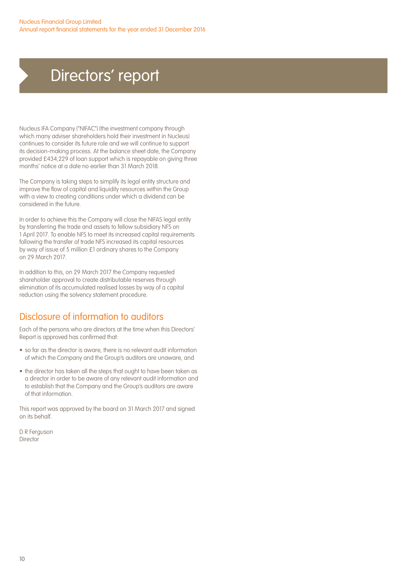### Directors' report

Nucleus IFA Company ("NIFAC") (the investment company through which many adviser shareholders hold their investment in Nucleus) continues to consider its future role and we will continue to support its decision-making process. At the balance sheet date, the Company provided £434,229 of loan support which is repayable on giving three months' notice at a date no earlier than 31 March 2018.

The Company is taking steps to simplify its legal entity structure and improve the flow of capital and liquidity resources within the Group with a view to creating conditions under which a dividend can be considered in the future.

In order to achieve this the Company will close the NIFAS legal entity by transferring the trade and assets to fellow subsidiary NFS on 1 April 2017. To enable NFS to meet its increased capital requirements following the transfer of trade NFS increased its capital resources by way of issue of 5 million £1 ordinary shares to the Company on 29 March 2017.

In addition to this, on 29 March 2017 the Company requested shareholder approval to create distributable reserves through elimination of its accumulated realised losses by way of a capital reduction using the solvency statement procedure.

### Disclosure of information to auditors

Each of the persons who are directors at the time when this Directors' Report is approved has confirmed that:

- so far as the director is aware, there is no relevant audit information of which the Company and the Group's auditors are unaware, and
- the director has taken all the steps that ought to have been taken as a director in order to be aware of any relevant audit information and to establish that the Company and the Group's auditors are aware of that information.

This report was approved by the board on 31 March 2017 and signed on its behalf.

D R Ferguson Director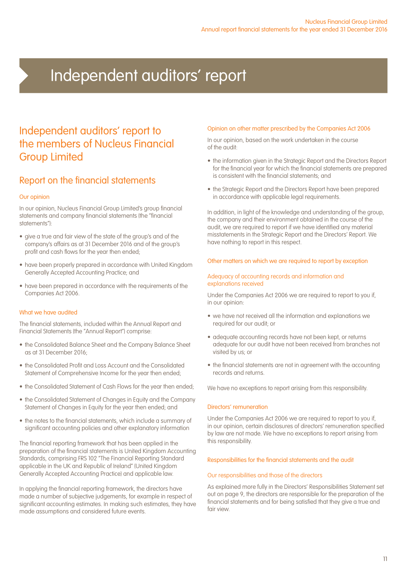## Independent auditors' report

### Independent auditors' report to the members of Nucleus Financial Group Limited

### Report on the financial statements

#### Our opinion

In our opinion, Nucleus Financial Group Limited's group financial statements and company financial statements (the "financial statements"):

- give a true and fair view of the state of the group's and of the company's affairs as at 31 December 2016 and of the group's profit and cash flows for the year then ended;
- have been properly prepared in accordance with United Kingdom Generally Accepted Accounting Practice; and
- have been prepared in accordance with the requirements of the Companies Act 2006.

#### What we have audited

The financial statements, included within the Annual Report and Financial Statements (the "Annual Report") comprise:

- the Consolidated Balance Sheet and the Company Balance Sheet as at 31 December 2016;
- the Consolidated Profit and Loss Account and the Consolidated Statement of Comprehensive Income for the year then ended;
- the Consolidated Statement of Cash Flows for the year then ended;
- the Consolidated Statement of Changes in Equity and the Company Statement of Changes in Equity for the year then ended; and
- the notes to the financial statements, which include a summary of significant accounting policies and other explanatory information

The financial reporting framework that has been applied in the preparation of the financial statements is United Kingdom Accounting Standards, comprising FRS 102 "The Financial Reporting Standard applicable in the UK and Republic of Ireland" (United Kingdom Generally Accepted Accounting Practice) and applicable law.

In applying the financial reporting framework, the directors have made a number of subjective judgements, for example in respect of significant accounting estimates. In making such estimates, they have made assumptions and considered future events.

#### Opinion on other matter prescribed by the Companies Act 2006

In our opinion, based on the work undertaken in the course of the audit:

- the information given in the Strategic Report and the Directors Report for the financial year for which the financial statements are prepared is consistent with the financial statements; and
- the Strategic Report and the Directors Report have been prepared in accordance with applicable legal requirements.

In addition, in light of the knowledge and understanding of the group, the company and their environment obtained in the course of the audit, we are required to report if we have identified any material misstatements in the Strategic Report and the Directors' Report. We have nothing to report in this respect.

#### Other matters on which we are required to report by exception

#### Adequacy of accounting records and information and explanations received

Under the Companies Act 2006 we are required to report to you if, in our opinion:

- we have not received all the information and explanations we required for our audit; or
- adequate accounting records have not been kept, or returns adequate for our audit have not been received from branches not visited by us; or
- the financial statements are not in agreement with the accounting records and returns.

We have no exceptions to report arising from this responsibility.

#### Directors' remuneration

Under the Companies Act 2006 we are required to report to you if, in our opinion, certain disclosures of directors' remuneration specified by law are not made. We have no exceptions to report arising from this responsibility.

#### Responsibilities for the financial statements and the audit

#### Our responsibilities and those of the directors

As explained more fully in the Directors' Responsibilities Statement set out on page 9, the directors are responsible for the preparation of the financial statements and for being satisfied that they give a true and fair view.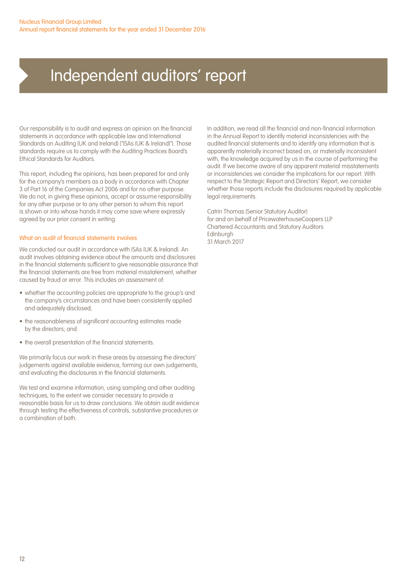### Independent auditors' report

Our responsibility is to audit and express an opinion on the financial statements in accordance with applicable law and International Standards on Auditing (UK and Ireland) ("ISAs (UK & Ireland)"). Those standards require us to comply with the Auditing Practices Board's Ethical Standards for Auditors.

This report, including the opinions, has been prepared for and only for the company's members as a body in accordance with Chapter 3 of Part 16 of the Companies Act 2006 and for no other purpose. We do not, in giving these opinions, accept or assume responsibility for any other purpose or to any other person to whom this report is shown or into whose hands it may come save where expressly agreed by our prior consent in writing.

#### What an audit of financial statements involves

We conducted our audit in accordance with ISAs (UK & Ireland). An audit involves obtaining evidence about the amounts and disclosures in the financial statements sufficient to give reasonable assurance that the financial statements are free from material misstatement, whether caused by fraud or error. This includes an assessment of:

- whether the accounting policies are appropriate to the group's and the company's circumstances and have been consistently applied and adequately disclosed;
- the reasonableness of significant accounting estimates made by the directors; and
- the overall presentation of the financial statements.

We primarily focus our work in these areas by assessing the directors' judgements against available evidence, forming our own judgements, and evaluating the disclosures in the financial statements.

We test and examine information, using sampling and other auditing techniques, to the extent we consider necessary to provide a reasonable basis for us to draw conclusions. We obtain audit evidence through testing the effectiveness of controls, substantive procedures or a combination of both.

In addition, we read all the financial and non-financial information in the Annual Report to identify material inconsistencies with the audited financial statements and to identify any information that is apparently materially incorrect based on, or materially inconsistent with, the knowledge acquired by us in the course of performing the audit. If we become aware of any apparent material misstatements or inconsistencies we consider the implications for our report. With respect to the Strategic Report and Directors' Report, we consider whether those reports include the disclosures required by applicable legal requirements.

Catrin Thomas (Senior Statutory Auditor) for and on behalf of PricewaterhouseCoopers LLP Chartered Accountants and Statutory Auditors Edinburgh 31 March 2017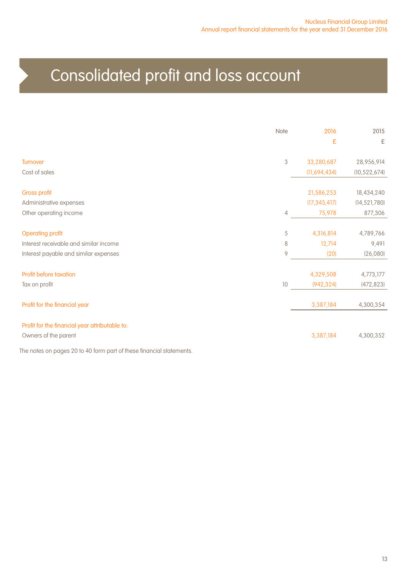## Consolidated profit and loss account

|                                                                        | Note           | 2016<br>£                    | 2015<br>£                    |
|------------------------------------------------------------------------|----------------|------------------------------|------------------------------|
| <b>Turnover</b>                                                        | $\,$ 3 $\,$    | 33,280,687                   | 28,956,914                   |
| Cost of sales                                                          |                | (11,694,434)                 | (10, 522, 674)               |
| <b>Gross profit</b><br>Administrative expenses                         |                | 21,586,253<br>(17, 345, 417) | 18,434,240<br>(14, 521, 780) |
| Other operating income                                                 | $\overline{4}$ | 75,978                       | 877,306                      |
| <b>Operating profit</b>                                                | 5              | 4,316,814                    | 4,789,766                    |
| Interest receivable and similar income                                 | 8              | 12,714                       | 9,491                        |
| Interest payable and similar expenses                                  | 9              | (20)                         | (26,080)                     |
| Profit before taxation                                                 |                | 4,329,508                    | 4,773,177                    |
| Tax on profit                                                          | 10             | (942, 324)                   | (472, 823)                   |
| Profit for the financial year                                          |                | 3,387,184                    | 4,300,354                    |
| Profit for the financial year attributable to:<br>Owners of the parent |                | 3,387,184                    | 4,300,352                    |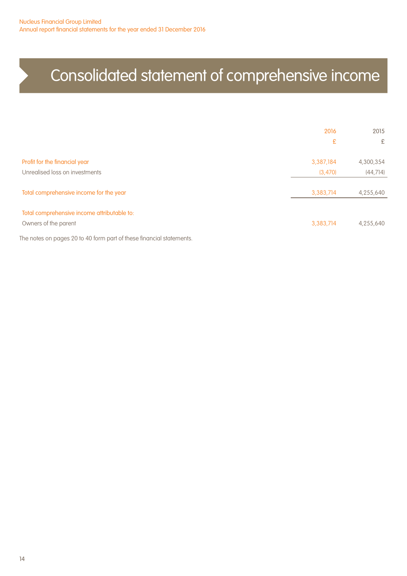## Consolidated statement of comprehensive income

|                                                                                                                   | 2016<br>£             | 2015<br>£              |
|-------------------------------------------------------------------------------------------------------------------|-----------------------|------------------------|
| Profit for the financial year<br>Unrealised loss on investments                                                   | 3,387,184             | 4,300,354              |
| Total comprehensive income for the year                                                                           | (3, 470)<br>3,383,714 | (44, 714)<br>4,255,640 |
| Total comprehensive income attributable to:<br>Owners of the parent                                               | 3,383,714             | 4,255,640              |
| $\alpha \alpha + \alpha \alpha$ film $\alpha + \alpha + \alpha + \alpha$<br>$-1$<br>and the state of the state of |                       |                        |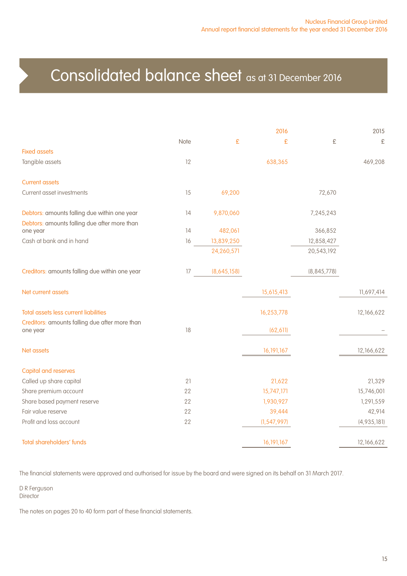### Consolidated balance sheet as at 31 December 2016

|                                                |      |             | 2016          |               | 2015        |
|------------------------------------------------|------|-------------|---------------|---------------|-------------|
|                                                | Note | £           | £             | £             | £           |
| <b>Fixed assets</b>                            |      |             |               |               |             |
| Tangible assets                                | 12   |             | 638,365       |               | 469,208     |
| <b>Current assets</b>                          |      |             |               |               |             |
| Current asset investments                      | 15   | 69,200      |               | 72,670        |             |
| Debtors: amounts falling due within one year   | 14   | 9,870,060   |               | 7,245,243     |             |
| Debtors: amounts falling due after more than   |      |             |               |               |             |
| one year                                       | 14   | 482,061     |               | 366,852       |             |
| Cash at bank and in hand                       | 16   | 13,839,250  |               | 12,858,427    |             |
|                                                |      | 24,260,571  |               | 20,543,192    |             |
| Creditors: amounts falling due within one year | 17   | (8,645,158) |               | (8, 845, 778) |             |
| Net current assets                             |      |             | 15,615,413    |               | 11,697,414  |
| <b>Total assets less current liabilities</b>   |      |             | 16,253,778    |               | 12,166,622  |
| Creditors: amounts falling due after more than |      |             |               |               |             |
| one year                                       | 18   |             | (62, 611)     |               |             |
| Net assets                                     |      |             | 16, 191, 167  |               | 12,166,622  |
| <b>Capital and reserves</b>                    |      |             |               |               |             |
| Called up share capital                        | 21   |             | 21,622        |               | 21,329      |
| Share premium account                          | 22   |             | 15,747,171    |               | 15,746,001  |
| Share based payment reserve                    | 22   |             | 1,930,927     |               | 1,291,559   |
| Fair value reserve                             | 22   |             | 39,444        |               | 42,914      |
| Profit and loss account                        | 22   |             | (1, 547, 997) |               | (4,935,181) |
| Total shareholders' funds                      |      |             | 16, 191, 167  |               | 12,166,622  |

The financial statements were approved and authorised for issue by the board and were signed on its behalf on 31 March 2017.

D R Ferguson **Director**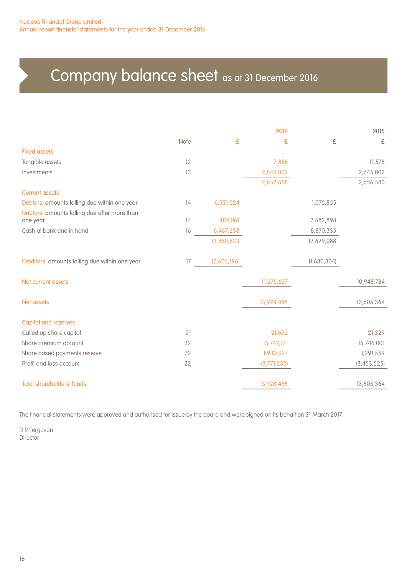## Company balance sheet as at 31 December 2016

|                                                |      |             | 2016        |             | 2015          |
|------------------------------------------------|------|-------------|-------------|-------------|---------------|
|                                                | Note | £           | £           | £           | £             |
| <b>Fixed assets</b>                            |      |             |             |             |               |
| Tangible assets                                | 12   |             | 7,856       |             | 11,578        |
| Investments                                    | 13   |             | 2,645,002   |             | 2,645,002     |
|                                                |      |             | 2,652,858   |             | 2,656,580     |
| <b>Current assets</b>                          |      |             |             |             |               |
| Debtors: amounts falling due within one year   | 14   | 6,931,524   |             | 1,075,855   |               |
| Debtors: amounts falling due after more than   |      |             |             |             |               |
| one year                                       | 14   | 482,061     |             | 2,682,898   |               |
| Cash at bank and in hand                       | 16   | 6,467,238   |             | 8,870,335   |               |
|                                                |      | 13,880,823  |             | 12,629,088  |               |
| Creditors: amounts falling due within one year | 17   | (2,605,196) |             | (1,680,304) |               |
| Net current assets                             |      |             | 11,275,627  |             | 10,948,784    |
| Net assets                                     |      |             | 13,928,485  |             | 13,605,364    |
| <b>Capital and reserves</b>                    |      |             |             |             |               |
| Called up share capital                        | 21   |             | 21,622      |             | 21,329        |
| Share premium account                          | 22   |             | 15,747,171  |             | 15,746,001    |
| Share based payments reserve                   | 22   |             | 1,930,927   |             | 1,291,559     |
| Profit and loss account                        | 22   |             | (3,771,235) |             | (3, 453, 525) |
| <b>Total shareholders' funds</b>               |      |             | 13,928,485  |             | 13,605,364    |

The financial statements were approved and authorised for issue by the board and were signed on its behalf on 31 March 2017.

D R Ferguson **Director**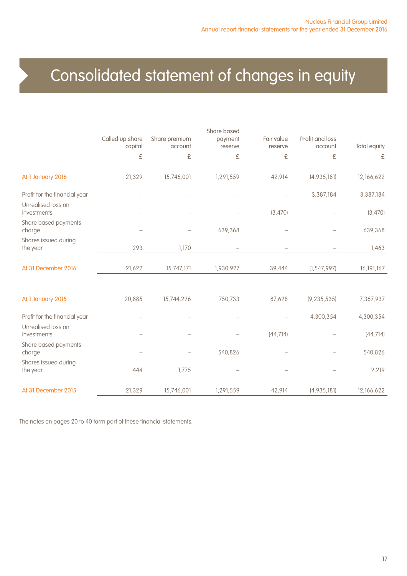## Consolidated statement of changes in equity

|                                   |                            |                          | Share based        |                       |                            |              |
|-----------------------------------|----------------------------|--------------------------|--------------------|-----------------------|----------------------------|--------------|
|                                   | Called up share<br>capital | Share premium<br>account | payment<br>reserve | Fair value<br>reserve | Profit and loss<br>account | Total equity |
|                                   | £                          | £                        | £                  | £                     | £                          | £            |
| At 1 January 2016                 | 21,329                     | 15,746,001               | 1,291,559          | 42,914                | (4,935,181)                | 12,166,622   |
| Profit for the financial year     |                            |                          |                    |                       | 3,387,184                  | 3,387,184    |
| Unrealised loss on<br>investments |                            |                          |                    | (3,470)               |                            | (3,470)      |
| Share based payments<br>charge    |                            |                          | 639,368            |                       |                            | 639,368      |
| Shares issued during<br>the year  | 293                        | 1,170                    |                    |                       |                            | 1,463        |
| At 31 December 2016               | 21,622                     | 15,747,171               | 1,930,927          | 39,444                | (1, 547, 997)              | 16, 191, 167 |
|                                   |                            |                          |                    |                       |                            |              |
| At 1 January 2015                 | 20,885                     | 15,744,226               | 750,733            | 87,628                | (9, 235, 535)              | 7,367,937    |
| Profit for the financial year     |                            |                          |                    |                       | 4,300,354                  | 4,300,354    |
| Unrealised loss on<br>investments |                            |                          |                    | (44, 714)             |                            | (44, 714)    |
| Share based payments<br>charge    |                            |                          | 540,826            |                       |                            | 540,826      |
| Shares issued during<br>the year  | 444                        | 1,775                    |                    |                       |                            | 2,219        |
|                                   |                            |                          |                    |                       |                            |              |
| At 31 December 2015               | 21,329                     | 15,746,001               | 1,291,559          | 42,914                | (4,935,181)                | 12,166,622   |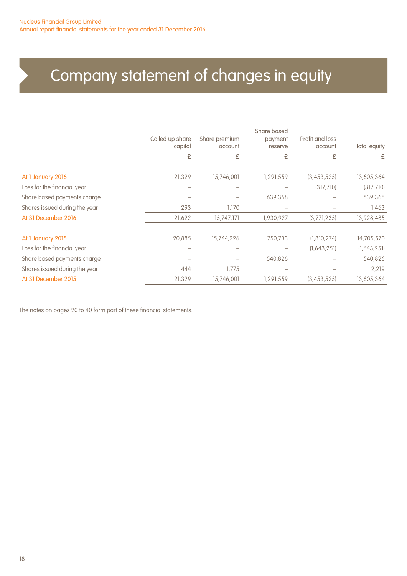## Company statement of changes in equity

|                               | Called up share<br>capital | Share premium<br>account | Share based<br>payment<br>reserve | Profit and loss<br>account | Total equity |
|-------------------------------|----------------------------|--------------------------|-----------------------------------|----------------------------|--------------|
|                               | £                          | £                        | £                                 | £                          | £            |
| At 1 January 2016             | 21,329                     | 15,746,001               | 1,291,559                         | (3,453,525)                | 13,605,364   |
| Loss for the financial year   |                            |                          |                                   | (317,710)                  | (317,710)    |
| Share based payments charge   |                            |                          | 639,368                           |                            | 639,368      |
| Shares issued during the year | 293                        | 1,170                    |                                   |                            | 1,463        |
| At 31 December 2016           | 21,622                     | 15,747,171               | 1,930,927                         | (3,771,235)                | 13,928,485   |
|                               |                            |                          |                                   |                            |              |
| At 1 January 2015             | 20,885                     | 15,744,226               | 750,733                           | (1,810,274)                | 14,705,570   |
| Loss for the financial year   |                            |                          |                                   | (1,643,251)                | (1,643,251)  |
| Share based payments charge   |                            |                          | 540,826                           |                            | 540,826      |
| Shares issued during the year | 444                        | 1,775                    |                                   |                            | 2,219        |
| At 31 December 2015           | 21,329                     | 15,746,001               | 1,291,559                         | (3,453,525)                | 13,605,364   |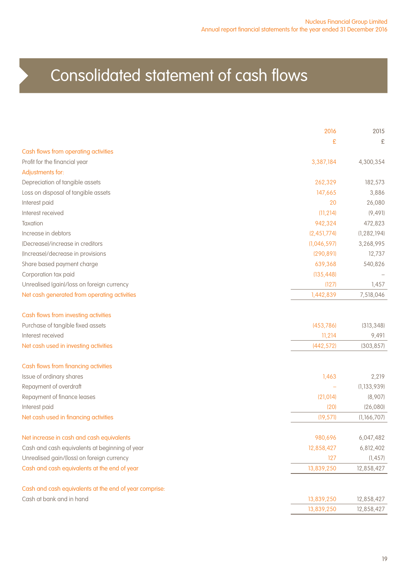## Consolidated statement of cash flows

|                                                        | 2016        | 2015          |
|--------------------------------------------------------|-------------|---------------|
|                                                        | £           | £             |
| Cash flows from operating activities                   |             |               |
| Profit for the financial year                          | 3,387,184   | 4,300,354     |
| Adjustments for:                                       |             |               |
| Depreciation of tangible assets                        | 262,329     | 182,573       |
| Loss on disposal of tangible assets                    | 147,665     | 3,886         |
| Interest paid                                          | 20          | 26,080        |
| Interest received                                      | (11, 214)   | (9, 49]       |
| Taxation                                               | 942,324     | 472,823       |
| Increase in debtors                                    | (2,451,774) | (1, 282, 194) |
| (Decrease)/increase in creditors                       | (1,046,597) | 3,268,995     |
| (Increase)/decrease in provisions                      | (290, 891)  | 12,737        |
| Share based payment charge                             | 639,368     | 540,826       |
| Corporation tax paid                                   | (135, 448)  |               |
| Unrealised (gain)/loss on foreign currency             | (127)       | 1,457         |
| Net cash generated from operating activities           | 1,442,839   | 7,518,046     |
| Cash flows from investing activities                   |             |               |
| Purchase of tangible fixed assets                      | (453, 786)  | (313, 348)    |
| Interest received                                      | 11,214      | 9,491         |
| Net cash used in investing activities                  | (442, 572)  | (303, 857)    |
| Cash flows from financing activities                   |             |               |
| Issue of ordinary shares                               | 1,463       | 2,219         |
| Repayment of overdraft                                 |             | (1, 133, 939) |
| Repayment of finance leases                            | (21, 014)   | (8,907)       |
| Interest paid                                          | (20)        | (26,080)      |
| Net cash used in financing activities                  | (19, 571)   | (1,166,707)   |
| Net increase in cash and cash equivalents              | 980,696     | 6,047,482     |
| Cash and cash equivalents at beginning of year         | 12,858,427  | 6,812,402     |
| Unrealised gain/(loss) on foreign currency             | 127         | (1, 457)      |
| Cash and cash equivalents at the end of year           | 13,839,250  | 12,858,427    |
| Cash and cash equivalents at the end of year comprise: |             |               |
| Cash at bank and in hand                               | 13,839,250  | 12,858,427    |
|                                                        | 13,839,250  | 12,858,427    |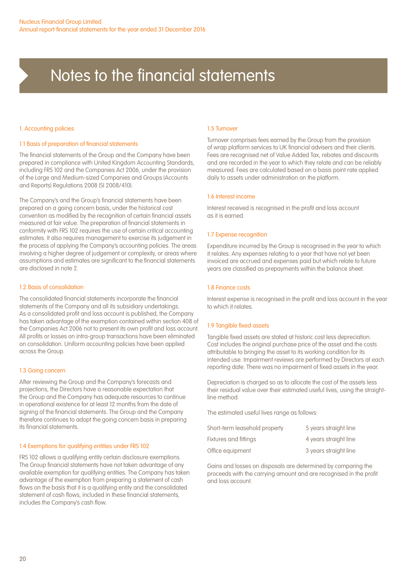#### 1. Accounting policies

#### 1.1 Basis of preparation of financial statements

The financial statements of the Group and the Company have been prepared in compliance with United Kingdom Accounting Standards, including FRS 102 and the Companies Act 2006, under the provision of the Large and Medium-sized Companies and Groups (Accounts and Reports) Regulations 2008 (SI 2008/410).

The Company's and the Group's financial statements have been prepared on a going concern basis, under the historical cost convention as modified by the recognition of certain financial assets measured at fair value. The preparation of financial statements in conformity with FRS 102 requires the use of certain critical accounting estimates. It also requires management to exercise its judgement in the process of applying the Company's accounting policies. The areas involving a higher degree of judgement or complexity, or areas where assumptions and estimates are significant to the financial statements are disclosed in note 2.

#### 1.2 Basis of consolidation

The consolidated financial statements incorporate the financial statements of the Company and all its subsidiary undertakings. As a consolidated profit and loss account is published, the Company has taken advantage of the exemption contained within section 408 of the Companies Act 2006 not to present its own profit and loss account. All profits or losses on intra-group transactions have been eliminated on consolidation. Uniform accounting policies have been applied across the Group.

#### 1.3 Going concern

After reviewing the Group and the Company's forecasts and projections, the Directors have a reasonable expectation that the Group and the Company has adequate resources to continue in operational existence for at least 12 months from the date of signing of the financial statements. The Group and the Company therefore continues to adopt the going concern basis in preparing its financial statements.

#### 1.4 Exemptions for qualifying entities under FRS 102

FRS 102 allows a qualifying entity certain disclosure exemptions. The Group financial statements have not taken advantage of any available exemption for qualifying entities. The Company has taken advantage of the exemption from preparing a statement of cash flows on the basis that it is a qualifying entity and the consolidated statement of cash flows, included in these financial statements, includes the Company's cash flow.

#### 1.5 Turnover

Turnover comprises fees earned by the Group from the provision of wrap platform services to UK financial advisers and their clients. Fees are recognised net of Value Added Tax, rebates and discounts and are recorded in the year to which they relate and can be reliably measured. Fees are calculated based on a basis point rate applied daily to assets under administration on the platform.

#### 1.6 Interest income

Interest received is recognised in the profit and loss account as it is earned.

#### 1.7 Expense recognition

Expenditure incurred by the Group is recognised in the year to which it relates. Any expenses relating to a year that have not yet been invoiced are accrued and expenses paid but which relate to future years are classified as prepayments within the balance sheet.

#### 1.8 Finance costs

Interest expense is recognised in the profit and loss account in the year to which it relates.

#### 1.9 Tangible fixed assets

Tangible fixed assets are stated at historic cost less depreciation. Cost includes the original purchase price of the asset and the costs attributable to bringing the asset to its working condition for its intended use. Impairment reviews are performed by Directors at each reporting date. There was no impairment of fixed assets in the year.

Depreciation is charged so as to allocate the cost of the assets less their residual value over their estimated useful lives, using the straightline method.

The estimated useful lives range as follows:

| Short-term leasehold property | 5 years straight line |
|-------------------------------|-----------------------|
| Fixtures and fittings         | 4 years straight line |
| Office equipment              | 3 years straight line |

Gains and losses on disposals are determined by comparing the proceeds with the carrying amount and are recognised in the profit and loss account.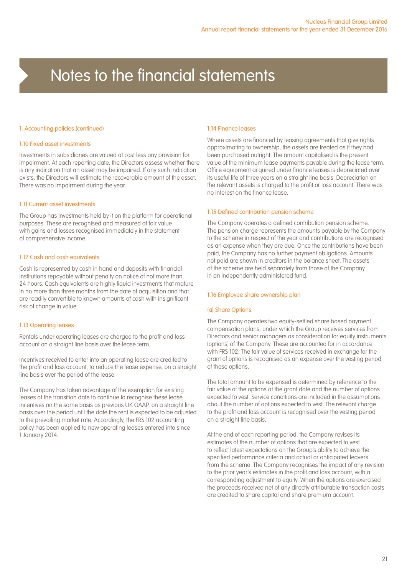#### 1. Accounting policies (continued)

#### 1.10 Fixed asset investments

Investments in subsidiaries are valued at cost less any provision for impairment. At each reporting date, the Directors assess whether there is any indication that an asset may be impaired. If any such indication exists, the Directors will estimate the recoverable amount of the asset. There was no impairment during the year.

#### 1.11 Current asset investments

The Group has investments held by it on the platform for operational purposes. These are recognised and measured at fair value with gains and losses recognised immediately in the statement of comprehensive income.

#### 1.12 Cash and cash equivalents

Cash is represented by cash in hand and deposits with financial institutions repayable without penalty on notice of not more than 24 hours. Cash equivalents are highly liquid investments that mature in no more than three months from the date of acquisition and that are readily convertible to known amounts of cash with insignificant risk of change in value.

#### 1.13 Operating leases

Rentals under operating leases are charged to the profit and loss account on a straight line basis over the lease term.

Incentives received to enter into an operating lease are credited to the profit and loss account, to reduce the lease expense, on a straight line basis over the period of the lease

The Company has taken advantage of the exemption for existing leases at the transition date to continue to recognise these lease incentives on the same basis as previous UK GAAP, on a straight line basis over the period until the date the rent is expected to be adjusted to the prevailing market rate. Accordingly, the FRS 102 accounting policy has been applied to new operating leases entered into since 1 January 2014.

#### 1.14 Finance leases

Where assets are financed by leasing agreements that give rights approximating to ownership, the assets are treated as if they had been purchased outright. The amount capitalised is the present value of the minimum lease payments payable during the lease term. Office equipment acquired under finance leases is depreciated over its useful life of three years on a straight line basis. Depreciation on the relevant assets is charged to the profit or loss account. There was no interest on the finance lease.

#### 1.15 Defined contribution pension scheme

The Company operates a defined contribution pension scheme. The pension charge represents the amounts payable by the Company to the scheme in respect of the year and contributions are recognised as an expense when they are due. Once the contributions have been paid, the Company has no further payment obligations. Amounts not paid are shown in creditors in the balance sheet. The assets of the scheme are held separately from those of the Company in an independently administered fund.

#### 1.16 Employee share ownership plan

#### (a) Share Options

The Company operates two equity-settled share based payment compensation plans, under which the Group receives services from Directors and senior managers as consideration for equity instruments (options) of the Company. These are accounted for in accordance with FRS 102. The fair value of services received in exchange for the grant of options is recognised as an expense over the vesting period of these options.

The total amount to be expensed is determined by reference to the fair value of the options at the grant date and the number of options expected to vest. Service conditions are included in the assumptions about the number of options expected to vest. The relevant charge to the profit and loss account is recognised over the vesting period on a straight line basis.

At the end of each reporting period, the Company revises its estimates of the number of options that are expected to vest to reflect latest expectations on the Group's ability to achieve the specified performance criteria and actual or anticipated leavers from the scheme. The Company recognises the impact of any revision to the prior year's estimates in the profit and loss account, with a corresponding adjustment to equity. When the options are exercised the proceeds received net of any directly attributable transaction costs are credited to share capital and share premium account.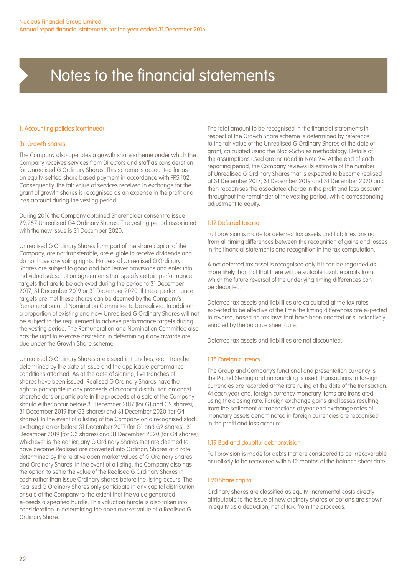#### 1. Accounting policies (continued)

#### (b) Growth Shares

The Company also operates a growth share scheme under which the Company receives services from Directors and staff as consideration for Unrealised G Ordinary Shares. This scheme is accounted for as an equity-settled share based payment in accordance with FRS 102. Consequently, the fair value of services received in exchange for the grant of growth shares is recognised as an expense in the profit and loss account during the vesting period.

During 2016 the Company obtained Shareholder consent to issue 29,257 Unrealised G4 Ordinary Shares. The vesting period associated with the new issue is 31 December 2020.

Unrealised G Ordinary Shares form part of the share capital of the Company, are not transferable, are eligible to receive dividends and do not have any voting rights. Holders of Unrealised G Ordinary Shares are subject to good and bad leaver provisions and enter into individual subscription agreements that specify certain performance targets that are to be achieved during the period to 31 December 2017, 31 December 2019 or 31 December 2020. If these performance targets are met these shares can be deemed by the Company's Remuneration and Nomination Committee to be realised. In addition, a proportion of existing and new Unrealised G Ordinary Shares will not be subject to the requirement to achieve performance targets during the vesting period. The Remuneration and Nomination Committee also has the right to exercise discretion in determining if any awards are due under the Growth Share scheme.

Unrealised G Ordinary Shares are issued in tranches, each tranche determined by the date of issue and the applicable performance conditions attached. As at the date of signing, five tranches of shares have been issued. Realised G Ordinary Shares have the right to participate in any proceeds of a capital distribution amongst shareholders or participate in the proceeds of a sale of the Company should either occur before 31 December 2017 (for G1 and G2 shares), 31 December 2019 (for G3 shares) and 31 December 2020 (for G4 shares). In the event of a listing of the Company on a recognised stock exchange on or before 31 December 2017 (for G1 and G2 shares), 31 December 2019 (for G3 shares) and 31 December 2020 (for G4 shares), whichever is the earlier, any G Ordinary Shares that are deemed to have become Realised are converted into Ordinary Shares at a rate determined by the relative open market values of G Ordinary Shares and Ordinary Shares. In the event of a listing, the Company also has the option to settle the value of the Realised G Ordinary Shares in cash rather than issue Ordinary shares before the listing occurs. The Realised G Ordinary Shares only participate in any capital distribution or sale of the Company to the extent that the value generated exceeds a specified hurdle. This valuation hurdle is also taken into consideration in determining the open market value of a Realised G Ordinary Share.

The total amount to be recognised in the financial statements in respect of the Growth Share scheme is determined by reference to the fair value of the Unrealised G Ordinary Shares at the date of grant, calculated using the Black-Scholes methodology. Details of the assumptions used are included in Note 24. At the end of each reporting period, the Company reviews its estimate of the number of Unrealised G Ordinary Shares that is expected to become realised at 31 December 2017, 31 December 2019 and 31 December 2020 and then recognises the associated charge in the profit and loss account throughout the remainder of the vesting period, with a corresponding adjustment to equity.

#### 1.17 Deferred taxation

Full provision is made for deferred tax assets and liabilities arising from all timing differences between the recognition of gains and losses in the financial statements and recognition in the tax computation.

A net deferred tax asset is recognised only if it can be regarded as more likely than not that there will be suitable taxable profits from which the future reversal of the underlying timing differences can be deducted.

Deferred tax assets and liabilities are calculated at the tax rates expected to be effective at the time the timing differences are expected to reverse, based on tax laws that have been enacted or substantively enacted by the balance sheet date.

Deferred tax assets and liabilities are not discounted.

#### 1.18 Foreign currency

The Group and Company's functional and presentation currency is the Pound Sterling and no rounding is used. Transactions in foreign currencies are recorded at the rate ruling at the date of the transaction. At each year end, foreign currency monetary items are translated using the closing rate. Foreign exchange gains and losses resulting from the settlement of transactions at year end exchange rates of monetary assets denominated in foreign currencies are recognised in the profit and loss account.

#### 1.19 Bad and doubtful debt provision

Full provision is made for debts that are considered to be irrecoverable or unlikely to be recovered within 12 months of the balance sheet date.

#### 1.20 Share capital

Ordinary shares are classified as equity. Incremental costs directly attributable to the issue of new ordinary shares or options are shown in equity as a deduction, net of tax, from the proceeds.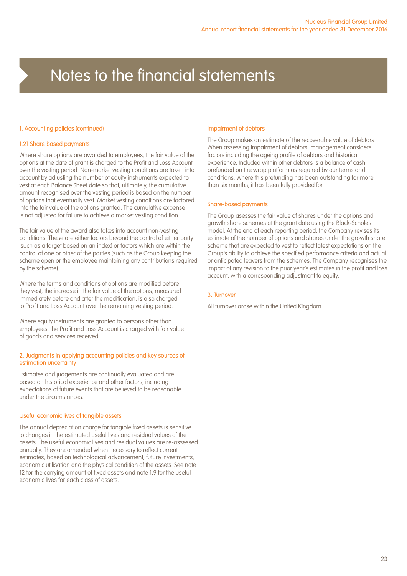#### 1. Accounting policies (continued)

#### 1.21 Share based payments

Where share options are awarded to employees, the fair value of the options at the date of grant is charged to the Profit and Loss Account over the vesting period. Non-market vesting conditions are taken into account by adjusting the number of equity instruments expected to vest at each Balance Sheet date so that, ultimately, the cumulative amount recognised over the vesting period is based on the number of options that eventually vest. Market vesting conditions are factored into the fair value of the options granted. The cumulative expense is not adjusted for failure to achieve a market vesting condition.

The fair value of the award also takes into account non-vesting conditions. These are either factors beyond the control of either party (such as a target based on an index) or factors which are within the control of one or other of the parties (such as the Group keeping the scheme open or the employee maintaining any contributions required by the scheme).

Where the terms and conditions of options are modified before they vest, the increase in the fair value of the options, measured immediately before and after the modification, is also charged to Profit and Loss Account over the remaining vesting period.

Where equity instruments are granted to persons other than employees, the Profit and Loss Account is charged with fair value of goods and services received.

#### 2. Judgments in applying accounting policies and key sources of estimation uncertainty

Estimates and judgements are continually evaluated and are based on historical experience and other factors, including expectations of future events that are believed to be reasonable under the circumstances.

#### Useful economic lives of tangible assets

The annual depreciation charge for tangible fixed assets is sensitive to changes in the estimated useful lives and residual values of the assets. The useful economic lives and residual values are re-assessed annually. They are amended when necessary to reflect current estimates, based on technological advancement, future investments, economic utilisation and the physical condition of the assets. See note 12 for the carrying amount of fixed assets and note 1.9 for the useful economic lives for each class of assets.

#### Impairment of debtors

The Group makes an estimate of the recoverable value of debtors. When assessing impairment of debtors, management considers factors including the ageing profile of debtors and historical experience. Included within other debtors is a balance of cash prefunded on the wrap platform as required by our terms and conditions. Where this prefunding has been outstanding for more than six months, it has been fully provided for.

#### Share-based payments

The Group asesses the fair value of shares under the options and growth share schemes at the grant date using the Black-Scholes model. At the end of each reporting period, the Company revises its estimate of the number of options and shares under the growth share scheme that are expected to vest to reflect latest expectations on the Group's ability to achieve the specified performance criteria and actual or anticipated leavers from the schemes. The Company recognises the impact of any revision to the prior year's estimates in the profit and loss account, with a corresponding adjustment to equity.

#### 3. Turnover

All turnover arose within the United Kingdom.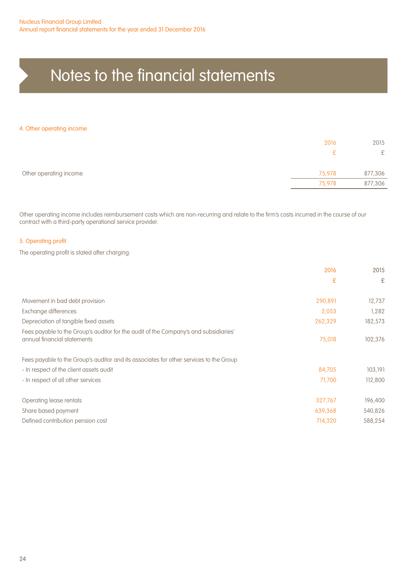#### 4. Other operating income

|                        | 2016         | 2015    |
|------------------------|--------------|---------|
|                        | $\mathbf{P}$ | £       |
| Other operating income | 75,978       | 877,306 |
|                        | 75,978       | 877,306 |

Other operating income includes reimbursement costs which are non-recurring and relate to the firm's costs incurred in the course of our contract with a third-party operational service provider.

#### 5. Operating profit

The operating profit is stated after charging:

|                                                                                                                     | 2016    | 2015    |
|---------------------------------------------------------------------------------------------------------------------|---------|---------|
|                                                                                                                     | £       | £       |
| Movement in bad debt provision                                                                                      | 290,891 | 12,737  |
| Exchange differences                                                                                                | 2,053   | 1,282   |
| Depreciation of tangible fixed assets                                                                               | 262,329 | 182,573 |
| Fees payable to the Group's auditor for the audit of the Company's and subsidiaries'<br>annual financial statements | 75,018  | 102,376 |
| Fees payable to the Group's auditor and its associates for other services to the Group                              |         |         |
| - In respect of the client assets audit                                                                             | 84.705  | 103,191 |
| - In respect of all other services                                                                                  | 71,700  | 112,800 |
| Operating lease rentals                                                                                             | 327,767 | 196,400 |
| Share based payment                                                                                                 | 639,368 | 540,826 |
| Defined contribution pension cost                                                                                   | 714,320 | 588,254 |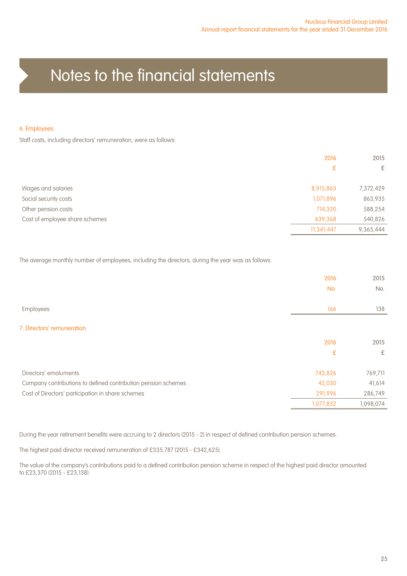#### 6. Employees

Staff costs, including directors' remuneration, were as follows:

|                                | 2016       | 2015      |
|--------------------------------|------------|-----------|
|                                | £          | £         |
| Wages and salaries             | 8,915,863  | 7,372,429 |
| Social security costs          | 1,071,896  | 863,935   |
| Other pension costs            | 714,320    | 588,254   |
| Cost of employee share schemes | 639,368    | 540,826   |
|                                | 11,341,447 | 9,365,444 |

The average monthly number of employees, including the directors, during the year was as follows:

|                                                               | 2016      | 2015      |
|---------------------------------------------------------------|-----------|-----------|
|                                                               | No.       | No.       |
|                                                               |           |           |
| Employees                                                     | 166       | 138       |
|                                                               |           |           |
| 7. Directors' remuneration                                    |           |           |
|                                                               | 2016      | 2015      |
|                                                               | £         | £         |
| Directors' emoluments                                         | 743,826   | 769,711   |
| Company contributions to defined contribution pension schemes | 42,030    | 41,614    |
|                                                               |           |           |
| Cost of Directors' participation in share schemes             | 291,996   | 286,749   |
|                                                               | 1,077,852 | 1,098,074 |

During the year retirement benefits were accruing to 2 directors (2015 - 2) in respect of defined contribution pension schemes.

The highest paid director received remuneration of £335,787 (2015 - £342,625).

The value of the company's contributions paid to a defined contribution pension scheme in respect of the highest paid director amounted to £23,370 (2015 - £23,138).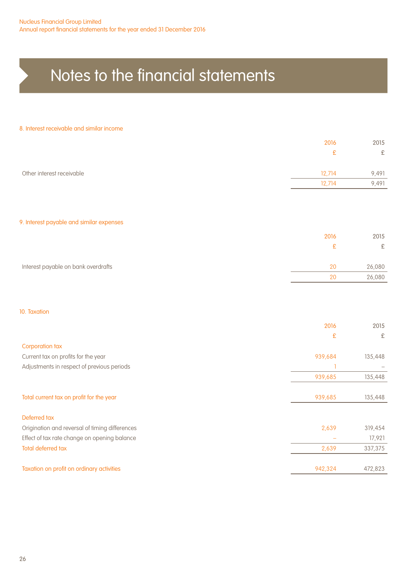#### 8. Interest receivable and similar income

|                                                | 2016    | 2015      |
|------------------------------------------------|---------|-----------|
|                                                | £       | $\pounds$ |
| Other interest receivable                      | 12,714  | 9,491     |
|                                                | 12,714  | 9,491     |
|                                                |         |           |
| 9. Interest payable and similar expenses       |         |           |
|                                                | 2016    | 2015      |
|                                                | £       | £         |
| Interest payable on bank overdrafts            | 20      | 26,080    |
|                                                | 20      | 26,080    |
|                                                |         |           |
| 10. Taxation                                   |         |           |
|                                                | 2016    | 2015      |
| <b>Corporation tax</b>                         | £       | £         |
| Current tax on profits for the year            | 939,684 | 135,448   |
| Adjustments in respect of previous periods     |         |           |
|                                                | 939,685 | 135,448   |
| Total current tax on profit for the year       | 939,685 | 135,448   |
| Deferred tax                                   |         |           |
| Origination and reversal of timing differences | 2,639   | 319,454   |
| Effect of tax rate change on opening balance   |         | 17,921    |
| <b>Total deferred tax</b>                      | 2,639   | 337,375   |

Taxation on profit on ordinary activities and the state of the state of the state of 942,324 472,823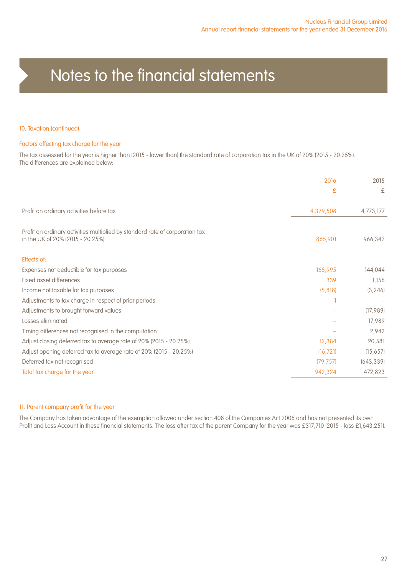#### 10. Taxation (continued)

#### Factors affecting tax charge for the year

The tax assessed for the year is higher than (2015 - lower than) the standard rate of corporation tax in the UK of 20% (2015 - 20.25%). The differences are explained below:

|                                                                                                                  | 2016      | 2015       |
|------------------------------------------------------------------------------------------------------------------|-----------|------------|
|                                                                                                                  | £         | £          |
| Profit on ordinary activities before tax                                                                         | 4,329,508 | 4.773.177  |
| Profit on ordinary activities multiplied by standard rate of corporation tax<br>in the UK of 20% (2015 - 20.25%) | 865,901   | 966,342    |
| Effects of:                                                                                                      |           |            |
| Expenses not deductible for tax purposes                                                                         | 165,995   | 144,044    |
| Fixed asset differences                                                                                          | 339       | 1,156      |
| Income not taxable for tax purposes                                                                              | (5,818)   | (3, 246)   |
| Adjustments to tax charge in respect of prior periods                                                            |           |            |
| Adjustments to brought forward values                                                                            |           | (17,989)   |
| Losses eliminated                                                                                                |           | 17,989     |
| Timing differences not recognised in the computation                                                             |           | 2,942      |
| Adjust closing deferred tax to average rate of 20% (2015 - 20.25%)                                               | 12,384    | 20,581     |
| Adjust opening deferred tax to average rate of 20% (2015 - 20.25%)                                               | (16, 721) | (15,657)   |
| Deferred tax not recognised                                                                                      | (79, 757) | (643, 339) |
| Total tax charge for the year                                                                                    | 942,324   | 472,823    |
|                                                                                                                  |           |            |

#### 11. Parent company profit for the year

The Company has taken advantage of the exemption allowed under section 408 of the Companies Act 2006 and has not presented its own Profit and Loss Account in these financial statements. The loss after tax of the parent Company for the year was £317,710 (2015 - loss £1,643,251).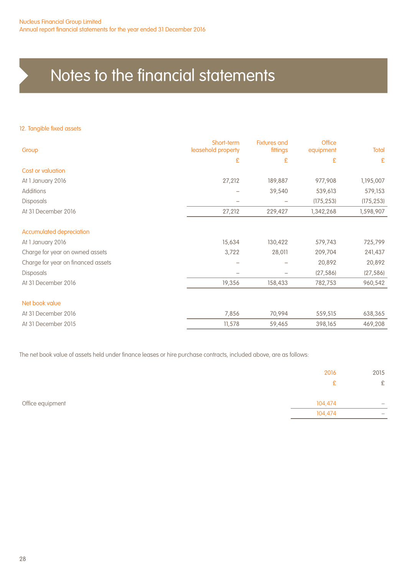#### 12. Tangible fixed assets

| Group                              | Short-term<br>leasehold property | <b>Fixtures and</b><br>fittings | <b>Office</b><br>equipment | Total        |
|------------------------------------|----------------------------------|---------------------------------|----------------------------|--------------|
|                                    | £                                | £                               | £                          | $\mathbf{E}$ |
| Cost or valuation                  |                                  |                                 |                            |              |
| At 1 January 2016                  | 27,212                           | 189,887                         | 977,908                    | 1,195,007    |
| Additions                          |                                  | 39,540                          | 539,613                    | 579,153      |
| <b>Disposals</b>                   |                                  |                                 | (175, 253)                 | (175, 253)   |
| At 31 December 2016                | 27,212                           | 229,427                         | 1,342,268                  | 1,598,907    |
| <b>Accumulated depreciation</b>    |                                  |                                 |                            |              |
| At 1 January 2016                  | 15,634                           | 130,422                         | 579,743                    | 725,799      |
| Charge for year on owned assets    | 3,722                            | 28,011                          | 209,704                    | 241,437      |
| Charge for year on financed assets |                                  |                                 | 20,892                     | 20,892       |
| Disposals                          |                                  |                                 | (27, 586)                  | (27, 586)    |
| At 31 December 2016                | 19,356                           | 158,433                         | 782,753                    | 960,542      |
| Net book value                     |                                  |                                 |                            |              |
| At 31 December 2016                | 7,856                            | 70,994                          | 559,515                    | 638,365      |
| At 31 December 2015                | 11,578                           | 59,465                          | 398,165                    | 469,208      |

The net book value of assets held under finance leases or hire purchase contracts, included above, are as follows:

|                  | 2016    | 2015 |
|------------------|---------|------|
|                  |         | £    |
| Office equipment | 104,474 |      |
|                  | 104,474 |      |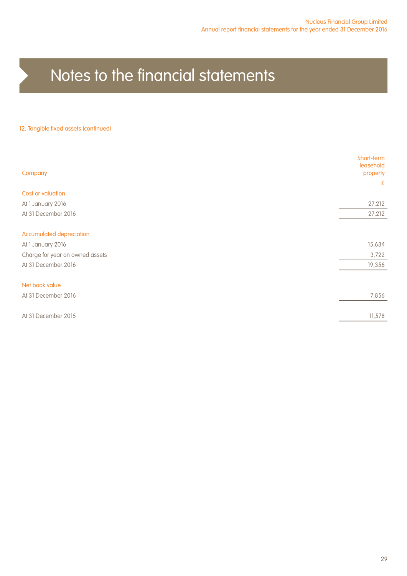#### 12. Tangible fixed assets (continued)

| Company                         | Short-term<br>leasehold<br>property<br>£ |
|---------------------------------|------------------------------------------|
| Cost or valuation               |                                          |
| At 1 January 2016               | 27,212                                   |
| At 31 December 2016             | 27,212                                   |
|                                 |                                          |
| <b>Accumulated depreciation</b> |                                          |
| At 1 January 2016               | 15,634                                   |
| Charge for year on owned assets | 3,722                                    |
| At 31 December 2016             | 19,356                                   |
|                                 |                                          |
| Net book value                  |                                          |
| At 31 December 2016             | 7,856                                    |
|                                 |                                          |
| At 31 December 2015             | 11,578                                   |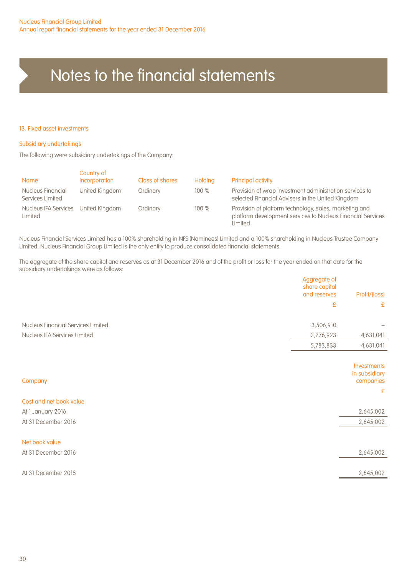#### 13. Fixed asset investments

#### Subsidiary undertakings

The following were subsidiary undertakings of the Company:

| <b>Name</b>                                    | Country of<br>incorporation | Class of shares | <b>Holding</b> | Principal activity                                                                                                               |
|------------------------------------------------|-----------------------------|-----------------|----------------|----------------------------------------------------------------------------------------------------------------------------------|
| Nucleus Financial<br>Services Limited          | United Kingdom              | Ordinary        | 100%           | Provision of wrap investment administration services to<br>selected Financial Advisers in the United Kingdom                     |
| Nucleus IFA Services United Kingdom<br>Limited |                             | Ordinary        | 100%           | Provision of platform technology, sales, marketing and<br>platform development services to Nucleus Financial Services<br>Limited |

Nucleus Financial Services Limited has a 100% shareholding in NFS (Nominees) Limited and a 100% shareholding in Nucleus Trustee Company Limited. Nucleus Financial Group Limited is the only entity to produce consolidated financial statements.

The aggregate of the share capital and reserves as at 31 December 2016 and of the profit or loss for the year ended on that date for the subsidiary undertakings were as follows:

| £<br>Nucleus Financial Services Limited<br>3,506,910<br>2,276,923<br>Nucleus IFA Services Limited<br>5,783,833<br>Company<br>Cost and net book value<br>At 1 January 2016<br>At 31 December 2016<br>Net book value<br>At 31 December 2016<br>At 31 December 2015 | Aggregate of<br>share capital<br>and reserves | Profit/(loss)                             |
|------------------------------------------------------------------------------------------------------------------------------------------------------------------------------------------------------------------------------------------------------------------|-----------------------------------------------|-------------------------------------------|
|                                                                                                                                                                                                                                                                  |                                               | £                                         |
|                                                                                                                                                                                                                                                                  |                                               |                                           |
|                                                                                                                                                                                                                                                                  |                                               | 4,631,041                                 |
|                                                                                                                                                                                                                                                                  |                                               | 4,631,041                                 |
|                                                                                                                                                                                                                                                                  |                                               |                                           |
|                                                                                                                                                                                                                                                                  |                                               | Investments<br>in subsidiary<br>companies |
|                                                                                                                                                                                                                                                                  |                                               | £                                         |
|                                                                                                                                                                                                                                                                  |                                               |                                           |
|                                                                                                                                                                                                                                                                  |                                               | 2,645,002                                 |
|                                                                                                                                                                                                                                                                  |                                               | 2,645,002                                 |
|                                                                                                                                                                                                                                                                  |                                               |                                           |
|                                                                                                                                                                                                                                                                  |                                               | 2,645,002                                 |
|                                                                                                                                                                                                                                                                  |                                               |                                           |
|                                                                                                                                                                                                                                                                  |                                               | 2,645,002                                 |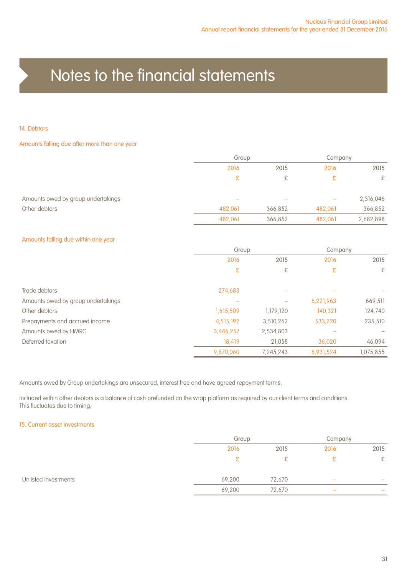#### 14. Debtors

#### Amounts falling due after more than one year

|                                    |                          | Group   |                          | Company   |
|------------------------------------|--------------------------|---------|--------------------------|-----------|
|                                    | 2016                     | 2015    | 2016                     | 2015      |
|                                    | £                        | £       | £                        | £         |
| Amounts owed by group undertakings | $\overline{\phantom{a}}$ |         | $\overline{\phantom{m}}$ | 2,316,046 |
| Other debtors                      | 482.061                  | 366.852 | 482.061                  | 366,852   |
|                                    | 482,061                  | 366,852 | 482,061                  | 2,682,898 |

#### Amounts falling due within one year

|                                    | Group     |           | Company   |           |
|------------------------------------|-----------|-----------|-----------|-----------|
|                                    | 2016      | 2015      | 2016      | 2015      |
|                                    | £         | £         | £         | £         |
| Trade debtors                      | 274,683   |           |           |           |
| Amounts owed by group undertakings |           |           | 6,221,963 | 669,511   |
| Other debtors                      | 1,615,509 | 1,179,120 | 140,321   | 124,740   |
| Prepayments and accrued income     | 4,515,192 | 3,510,262 | 533,220   | 235,510   |
| Amounts owed by HMRC               | 3,446,257 | 2,534,803 |           |           |
| Deferred taxation                  | 18.419    | 21.058    | 36.020    | 46.094    |
|                                    | 9.870.060 | 7.245.243 | 6.931.524 | 1,075,855 |

Amounts owed by Group undertakings are unsecured, interest free and have agreed repayment terms.

Included within other debtors is a balance of cash prefunded on the wrap platform as required by our client terms and conditions. This fluctuates due to timing.

#### 15. Current asset investments

|                      | Group  |        |                          |      |
|----------------------|--------|--------|--------------------------|------|
|                      | 2016   | 2015   | 2016                     | 2015 |
|                      | £      | £      |                          | £    |
| Unlisted investments | 69,200 | 72,670 | $\overline{\phantom{a}}$ |      |
|                      | 69,200 | 72,670 | $\overline{\phantom{a}}$ | -    |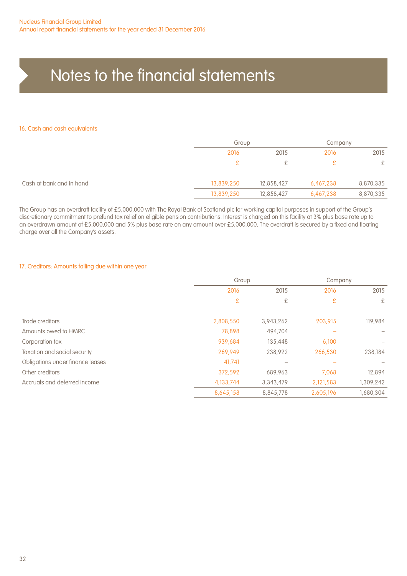#### 16. Cash and cash equivalents

|                          | Group      |            | Company   |           |
|--------------------------|------------|------------|-----------|-----------|
|                          | 2016       | 2015       | 2016      | 2015      |
|                          |            | ¢          |           | £         |
| Cash at bank and in hand | 13,839,250 | 12,858,427 | 6,467,238 | 8,870,335 |
|                          | 13,839,250 | 12,858,427 | 6,467,238 | 8,870,335 |

The Group has an overdraft facility of £5,000,000 with The Royal Bank of Scotland plc for working capital purposes in support of the Group's discretionary commitment to prefund tax relief on eligible pension contributions. Interest is charged on this facility at 3% plus base rate up to an overdrawn amount of £5,000,000 and 5% plus base rate on any amount over £5,000,000. The overdraft is secured by a fixed and floating charge over all the Company's assets.

#### 17. Creditors: Amounts falling due within one year

|                                  | Group     |           | Company   |           |
|----------------------------------|-----------|-----------|-----------|-----------|
|                                  | 2016      | 2015      | 2016      | 2015      |
|                                  | £         | £         | £         | £         |
| Trade creditors                  | 2,808,550 | 3,943,262 | 203,915   | 119,984   |
| Amounts owed to HMRC             | 78,898    | 494.704   |           |           |
| Corporation tax                  | 939,684   | 135,448   | 6,100     |           |
| Taxation and social security     | 269,949   | 238,922   | 266,530   | 238,184   |
| Obligations under finance leases | 41,741    |           |           |           |
| Other creditors                  | 372,592   | 689.963   | 7.068     | 12.894    |
| Accruals and deferred income     | 4,133,744 | 3,343,479 | 2,121,583 | 1,309,242 |
|                                  | 8,645,158 | 8,845,778 | 2,605,196 | 1,680,304 |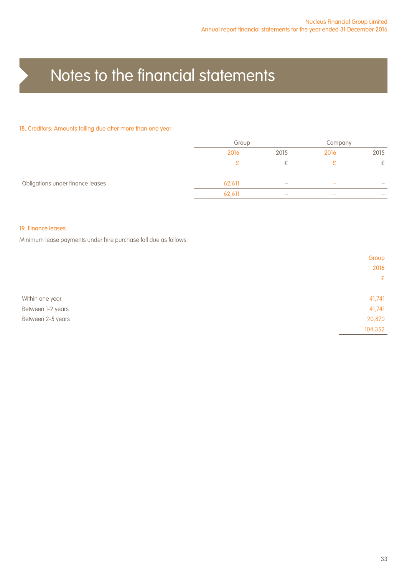#### 18. Creditors: Amounts falling due after more than one year

|                                  | Group  |                                                                           | Company                  |                                 |
|----------------------------------|--------|---------------------------------------------------------------------------|--------------------------|---------------------------------|
|                                  | 2016   | 2015                                                                      | 2016                     | 2015                            |
|                                  |        |                                                                           |                          | £.                              |
| Obligations under finance leases | 62,611 | $\hspace{1.0cm} \rule{1.5cm}{0.15cm} \hspace{1.0cm} \rule{1.5cm}{0.15cm}$ | $\overline{\phantom{a}}$ | $\overline{\phantom{0}}$        |
|                                  | 62,611 | $\hspace{1.0cm} \rule{1.5cm}{0.15cm} \hspace{1.0cm} \rule{1.5cm}{0.15cm}$ | $\overline{\phantom{a}}$ | $\hspace{0.1mm}-\hspace{0.1mm}$ |

#### 19. Finance leases

Minimum lease payments under hire purchase fall due as follows:

|                   | Group   |
|-------------------|---------|
|                   | 2016    |
|                   | E       |
|                   |         |
| Within one year   | 41,741  |
| Between 1-2 years | 41,741  |
| Between 2-5 years | 20,870  |
|                   | 104,352 |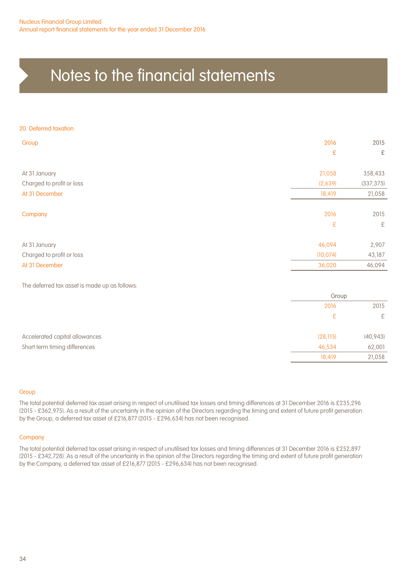#### 20. Deferred taxation

| Group                     | 2016      | 2015       |
|---------------------------|-----------|------------|
|                           | £         | £          |
| At 31 January             | 21,058    | 358,433    |
| Charged to profit or loss | (2,639)   | (337, 375) |
| At 31 December            | 18,419    | 21,058     |
| Company                   | 2016      | 2015       |
|                           | £         | £          |
| At 31 January             | 46,094    | 2,907      |
| Charged to profit or loss | (10, 074) | 43,187     |
| At 31 December            | 36,020    | 46,094     |
|                           |           |            |

The deferred tax asset is made up as follows:

|                                | Group     |           |
|--------------------------------|-----------|-----------|
|                                | 2016      | 2015      |
|                                | £         | £         |
| Accelerated capital allowances | (28, 115) | (40, 943) |
| Short term timing differences  | 46,534    | 62,001    |
|                                | 18,419    | 21,058    |

#### Group

The total potential deferred tax asset arising in respect of unutilised tax losses and timing differences at 31 December 2016 is £235,296 (2015 - £362,975). As a result of the uncertainty in the opinion of the Directors regarding the timing and extent of future profit generation by the Group, a deferred tax asset of £216,877 (2015 - £296,634) has not been recognised.

#### **Company**

The total potential deferred tax asset arising in respect of unutilised tax losses and timing differences at 31 December 2016 is £252,897 (2015 - £342,728). As a result of the uncertainty in the opinion of the Directors regarding the timing and extent of future profit generation by the Company, a deferred tax asset of £216,877 (2015 - £296,634) has not been recognised.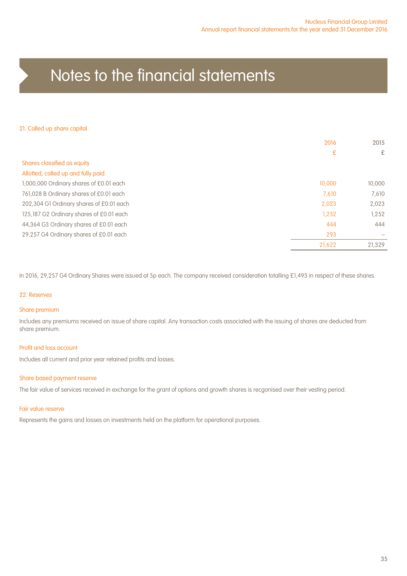#### 21. Called up share capital

|                                          | 2016   | 2015                     |
|------------------------------------------|--------|--------------------------|
|                                          | £      | £                        |
| Shares classified as equity              |        |                          |
| Allotted, called up and fully paid       |        |                          |
| 1,000,000 Ordinary shares of £0.01 each  | 10,000 | 10,000                   |
| 761,028 B Ordinary shares of £0.01 each  | 7.610  | 7.610                    |
| 202,304 G1 Ordinary shares of £0.01 each | 2,023  | 2,023                    |
| 125,187 G2 Ordinary shares of £0.01 each | 1,252  | 1,252                    |
| 44,364 G3 Ordinary shares of £0.01 each  | 444    | 444                      |
| 29,257 G4 Ordinary shares of £0.01 each  | 293    | $\overline{\phantom{m}}$ |
|                                          | 21,622 | 21.329                   |

In 2016, 29,257 G4 Ordinary Shares were issued at 5p each. The company received consideration totalling £1,493 in respect of these shares.

#### 22. Reserves

#### Share premium

Includes any premiums received on issue of share capital. Any transaction costs associated with the issuing of shares are deducted from share premium.

#### Profit and loss account

Includes all current and prior year retained profits and losses.

#### Share based payment reserve

The fair value of services received in exchange for the grant of options and growth shares is recgonised over their vesting period.

#### Fair value reserve

Represents the gains and losses on investments held on the platform for operational purposes.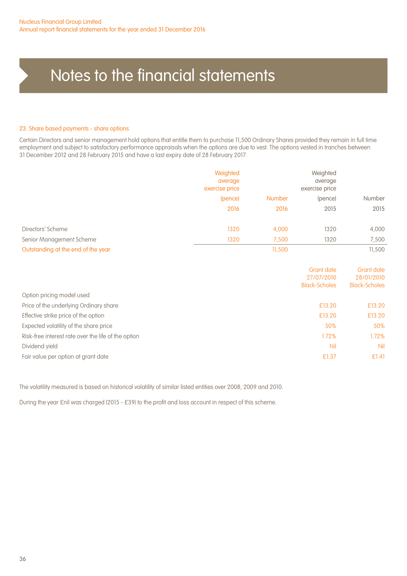#### 23. Share based payments - share options

Certain Directors and senior management hold options that entitle them to purchase 11,500 Ordinary Shares provided they remain in full time employment and subject to satisfactory performance appraisals when the options are due to vest. The options vested in tranches between 31 December 2012 and 28 February 2015 and have a last expiry date of 28 February 2017.

|                                    | Weighted<br>average<br>exercise price | Weighted<br>average<br>exercise price |         |        |  |  |
|------------------------------------|---------------------------------------|---------------------------------------|---------|--------|--|--|
|                                    | (pence)                               | <b>Number</b>                         | (pence) | Number |  |  |
|                                    | 2016                                  | 2016                                  | 2015    | 2015   |  |  |
| Directors' Scheme                  | 1320                                  | 4,000                                 | 1320    | 4,000  |  |  |
| Senior Management Scheme           | 1320                                  | 7.500                                 | 1320    | 7,500  |  |  |
| Outstanding at the end of the year |                                       | 11,500                                |         | 11,500 |  |  |

|                                                     | Grant date<br>27/07/2010<br>Black-Scholes | Grant date<br>28/01/2010<br><b>Black-Scholes</b> |
|-----------------------------------------------------|-------------------------------------------|--------------------------------------------------|
| Option pricing model used                           |                                           |                                                  |
| Price of the underlying Ordinary share              | £13.20                                    | £13.20                                           |
| Effective strike price of the option                | £13.20                                    | £13.20                                           |
| Expected volatility of the share price              | 50%                                       | 50%                                              |
| Risk-free interest rate over the life of the option | 1.72%                                     | 1.72%                                            |
| Dividend yield                                      | Nil                                       | Nil                                              |
| Fair value per option at grant date                 | £1.37                                     | £1.41                                            |

The volatility measured is based on historical volatility of similar listed entities over 2008, 2009 and 2010.

During the year £nil was charged (2015 - £39) to the profit and loss account in respect of this scheme.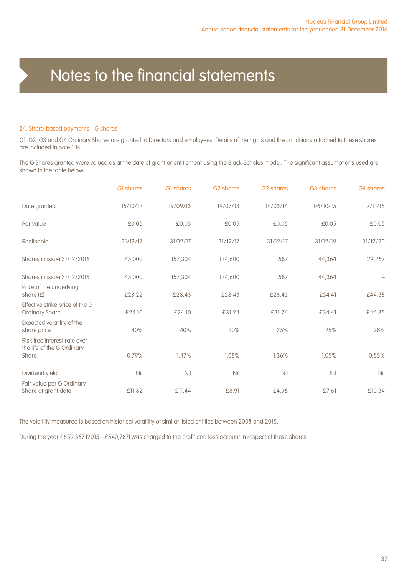#### 24. Share-based payments - G shares

G1, G2, G3 and G4 Ordinary Shares are granted to Directors and employees. Details of the rights and the conditions attached to these shares are included in note 1.16.

The G Shares granted were valued as at the date of grant or entitlement using the Black-Scholes model. The significant assumptions used are shown in the table below:

|                                                                     | GI shares | G1 shares | G <sub>2</sub> shares | G <sub>2</sub> shares | G3 shares | G4 shares |
|---------------------------------------------------------------------|-----------|-----------|-----------------------|-----------------------|-----------|-----------|
| Date granted                                                        | 15/10/12  | 19/09/13  | 19/07/13              | 14/03/14              | 06/10/15  | 17/11/16  |
| Par value                                                           | £0.05     | £0.05     | £0.05                 | £0.05                 | £0.05     | £0.05     |
| Realisable                                                          | 31/12/17  | 31/12/17  | 31/12/17              | 31/12/17              | 31/12/19  | 31/12/20  |
| Shares in issue 31/12/2016                                          | 45,000    | 157,304   | 124,600               | 587                   | 44,364    | 29,257    |
| Shares in issue 31/12/2015                                          | 45,000    | 157,304   | 124,600               | 587                   | 44,364    |           |
| Price of the underlying<br>share $(E)$                              | £28.22    | £28.43    | £28.43                | £28.43                | £34.41    | £44.35    |
| Effective strike price of the G<br><b>Ordinary Share</b>            | £24.10    | £24.10    | £31.24                | £31.24                | £34.41    | £44.35    |
| Expected volatility of the<br>share price                           | 40%       | 40%       | 40%                   | 25%                   | 25%       | 28%       |
| Risk free interest rate over<br>the life of the G Ordinary<br>Share | 0.79%     | 1.47%     | 1.08%                 | 1.36%                 | 1.05%     | 0.55%     |
| Dividend yield                                                      | Nil       | Nil       | Nil                   | Nil                   | Nil       | Nil       |
| Fair value per G Ordinary<br>Share at grant date                    | £11.82    | £11.44    | £8.91                 | £4.95                 | £7.61     | £10.34    |

The volatility measured is based on historical volatility of similar listed entities between 2008 and 2015.

During the year £639,367 (2015 - £540,787) was charged to the profit and loss account in respect of these shares.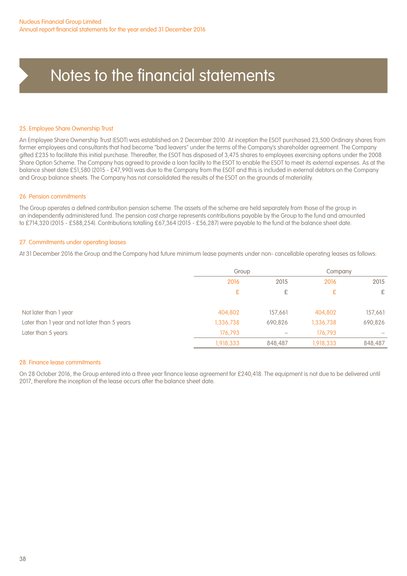#### 25. Employee Share Ownership Trust

An Employee Share Ownership Trust (ESOT) was established on 2 December 2010. At inception the ESOT purchased 23,500 Ordinary shares from former employees and consultants that had become "bad leavers" under the terms of the Company's shareholder agreement. The Company gifted £235 to facilitate this initial purchase. Thereafter, the ESOT has disposed of 3,475 shares to employees exercising options under the 2008 Share Option Scheme. The Company has agreed to provide a loan facility to the ESOT to enable the ESOT to meet its external expenses. As at the balance sheet date £51,580 (2015 - £47,990) was due to the Company from the ESOT and this is included in external debtors on the Company and Group balance sheets. The Company has not consolidated the results of the ESOT on the grounds of materiality.

#### 26. Pension commitments

The Group operates a defined contribution pension scheme. The assets of the scheme are held separately from those of the group in an independently administered fund. The pension cost charge represents contributions payable by the Group to the fund and amounted to £714,320 (2015 - £588,254). Contributions totalling £67,364 (2015 - £56,287) were payable to the fund at the balance sheet date.

#### 27. Commitments under operating leases

At 31 December 2016 the Group and the Company had future minimum lease payments under non- cancellable operating leases as follows:

|                                              |           | Group   |              | Company |      |
|----------------------------------------------|-----------|---------|--------------|---------|------|
|                                              | 2016      |         | 2016<br>2015 |         | 2015 |
|                                              | £         | £       | £            | £       |      |
| Not later than 1 year                        | 404,802   | 157.661 | 404,802      | 157,661 |      |
| Later than 1 year and not later than 5 years | 1,336,738 | 690,826 | 1,336,738    | 690,826 |      |
| Later than 5 years                           | 176,793   |         | 176,793      |         |      |
|                                              | 1,918,333 | 848,487 | 1,918,333    | 848,487 |      |

#### 28. Finance lease commitments

On 28 October 2016, the Group entered into a three year finance lease agreement for £240,418. The equipment is not due to be delivered until 2017, therefore the inception of the lease occurs after the balance sheet date.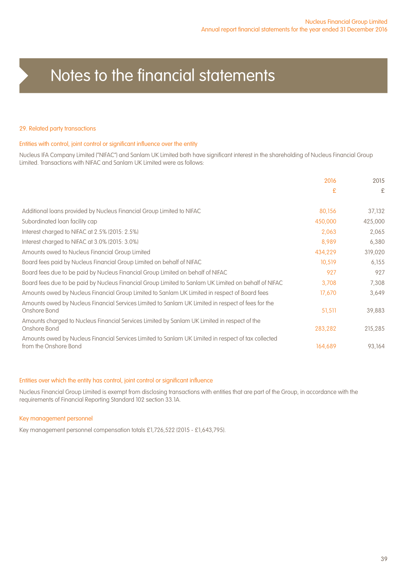#### 29. Related party transactions

#### Entities with control, joint control or significant influence over the entity

Nucleus IFA Company Limited ("NIFAC") and Sanlam UK Limited both have significant interest in the shareholding of Nucleus Financial Group Limited. Transactions with NIFAC and Sanlam UK Limited were as follows:

|                                                                                                                              | 2016    | 2015    |
|------------------------------------------------------------------------------------------------------------------------------|---------|---------|
|                                                                                                                              | £       | £       |
| Additional loans provided by Nucleus Financial Group Limited to NIFAC                                                        | 80,156  | 37,132  |
| Subordinated loan facility cap                                                                                               | 450,000 | 425,000 |
| Interest charged to NIFAC at 2.5% (2015: 2.5%)                                                                               | 2,063   | 2,065   |
| Interest charged to NIFAC at 3.0% (2015: 3.0%)                                                                               | 8,989   | 6,380   |
| Amounts owed to Nucleus Financial Group Limited                                                                              | 434,229 | 319,020 |
| Board fees paid by Nucleus Financial Group Limited on behalf of NIFAC                                                        | 10,519  | 6,155   |
| Board fees due to be paid by Nucleus Financial Group Limited on behalf of NIFAC                                              | 927     | 927     |
| Board fees due to be paid by Nucleus Financial Group Limited to Sanlam UK Limited on behalf of NIFAC                         | 3.708   | 7,308   |
| Amounts owed by Nucleus Financial Group Limited to Sanlam UK Limited in respect of Board fees                                | 17,670  | 3,649   |
| Amounts owed by Nucleus Financial Services Limited to Sanlam UK Limited in respect of fees for the<br>Onshore Bond           | 51,511  | 39,883  |
| Amounts charged to Nucleus Financial Services Limited by Sanlam UK Limited in respect of the<br>Onshore Bond                 | 283,282 | 215,285 |
| Amounts owed by Nucleus Financial Services Limited to Sanlam UK Limited in respect of tax collected<br>from the Onshore Bond | 164,689 | 93,164  |

#### Entities over which the entity has control, joint control or significant influence

Nucleus Financial Group Limited is exempt from disclosing transactions with entities that are part of the Group, in accordance with the requirements of Financial Reporting Standard 102 section 33.1A.

#### Key management personnel

Key management personnel compensation totals £1,726,522 (2015 - £1,643,795).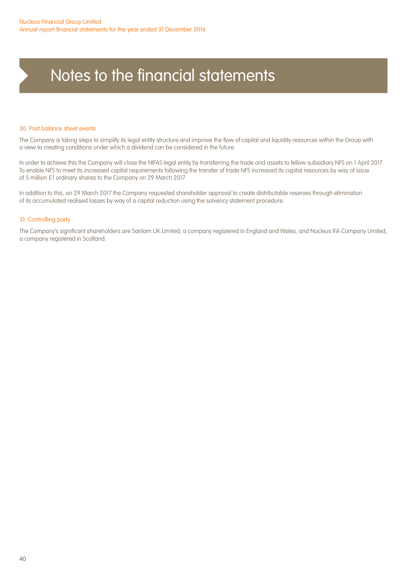#### 30. Post balance sheet events

The Company is taking steps to simplify its legal entity structure and improve the flow of capital and liquidity resources within the Group with a view to creating conditions under which a dividend can be considered in the future.

In order to achieve this the Company will close the NIFAS legal entity by transferring the trade and assets to fellow subsidiary NFS on 1 April 2017. To enable NFS to meet its increased capital requirements following the transfer of trade NFS increased its capital resources by way of issue of 5 million £1 ordinary shares to the Company on 29 March 2017.

In addition to this, on 29 March 2017 the Company requested shareholder approval to create distributable reserves through elimination of its accumulated realised losses by way of a capital reduction using the solvency statement procedure.

#### 31. Controlling party

The Company's significant shareholders are Sanlam UK Limited, a company registered in England and Wales, and Nucleus IFA Company Limited, a company registered in Scotland.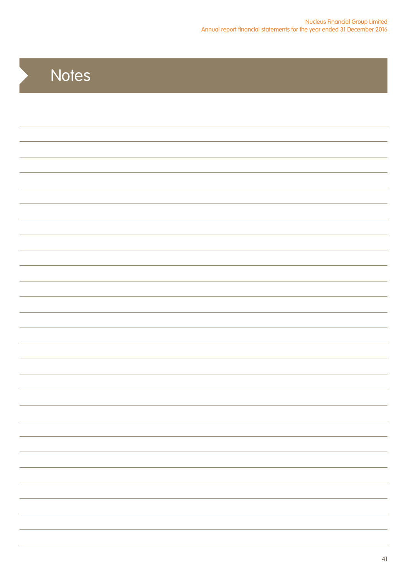| Notes |
|-------|
|       |
|       |
|       |
|       |
|       |
|       |
|       |
|       |
|       |
|       |
|       |
|       |
|       |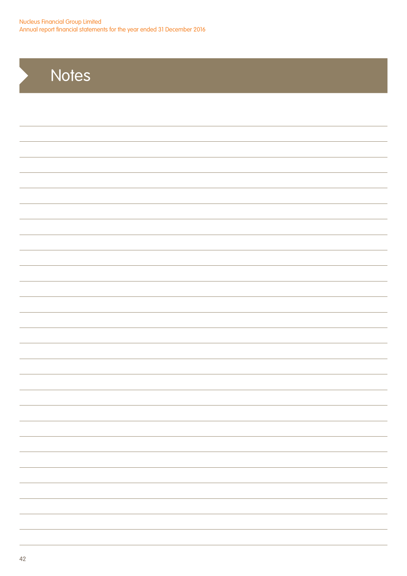## **Notes**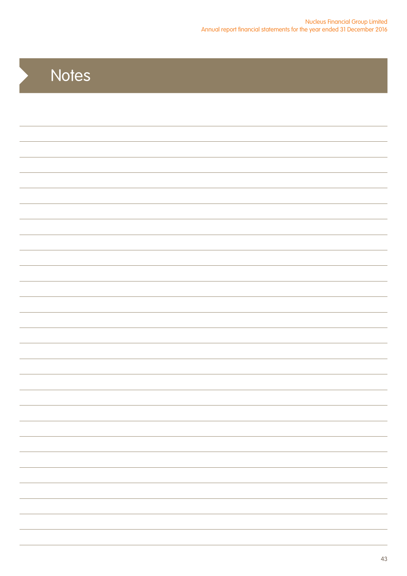| Notes |
|-------|
|       |
|       |
|       |
|       |
|       |
|       |
|       |
|       |
|       |
|       |
|       |
|       |
|       |